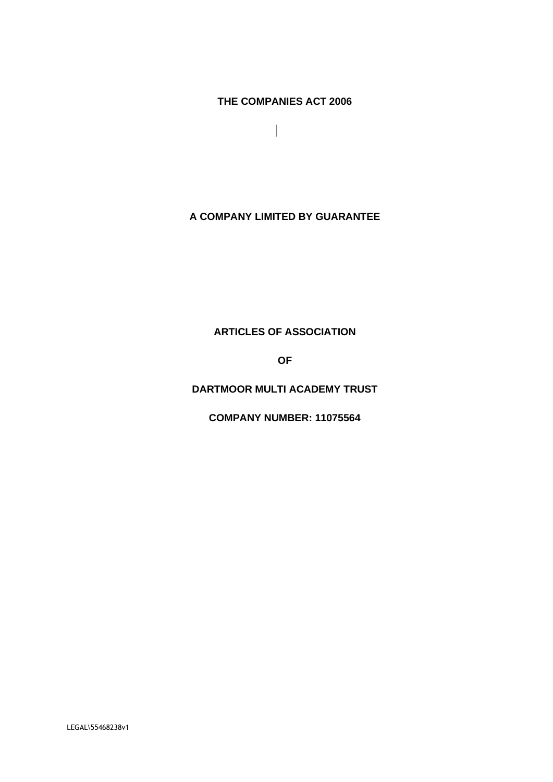**THE COMPANIES ACT 2006**

**A COMPANY LIMITED BY GUARANTEE**

#### **ARTICLES OF ASSOCIATION**

**OF**

### **DARTMOOR MULTI ACADEMY TRUST**

**COMPANY NUMBER: 11075564**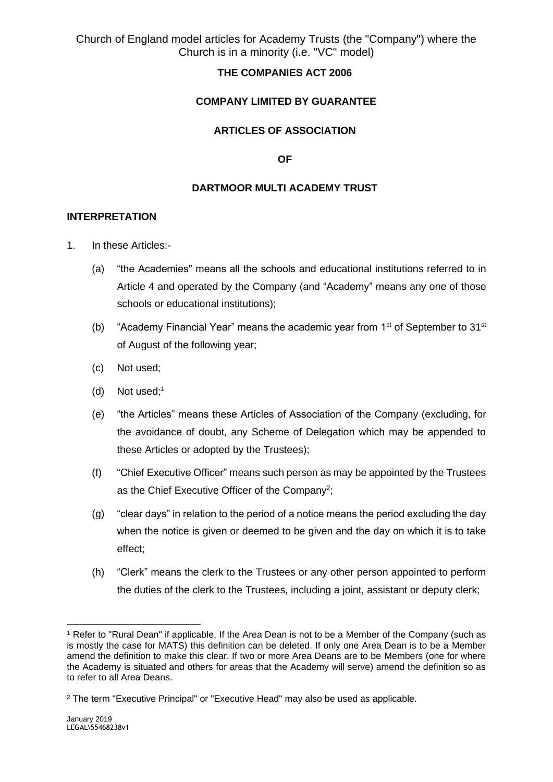## **THE COMPANIES ACT 2006**

#### **COMPANY LIMITED BY GUARANTEE**

#### **ARTICLES OF ASSOCIATION**

**OF**

#### **DARTMOOR MULTI ACADEMY TRUST**

#### **INTERPRETATION**

- 1. In these Articles:-
	- (a) "the Academies" means all the schools and educational institutions referred to in Article 4 and operated by the Company (and "Academy" means any one of those schools or educational institutions);
	- (b) "Academy Financial Year" means the academic year from  $1<sup>st</sup>$  of September to  $31<sup>st</sup>$ of August of the following year;
	- (c) Not used;
	- (d) Not used; $1$
	- (e) "the Articles" means these Articles of Association of the Company (excluding, for the avoidance of doubt, any Scheme of Delegation which may be appended to these Articles or adopted by the Trustees);
	- (f) "Chief Executive Officer" means such person as may be appointed by the Trustees as the Chief Executive Officer of the Company<sup>2</sup>;
	- (g) "clear days" in relation to the period of a notice means the period excluding the day when the notice is given or deemed to be given and the day on which it is to take effect;
	- (h) "Clerk" means the clerk to the Trustees or any other person appointed to perform the duties of the clerk to the Trustees, including a joint, assistant or deputy clerk;

<sup>1</sup> Refer to "Rural Dean" if applicable. If the Area Dean is not to be a Member of the Company (such as is mostly the case for MATS) this definition can be deleted. If only one Area Dean is to be a Member amend the definition to make this clear. If two or more Area Deans are to be Members (one for where the Academy is situated and others for areas that the Academy will serve) amend the definition so as to refer to all Area Deans.

<sup>2</sup> The term "Executive Principal" or "Executive Head" may also be used as applicable.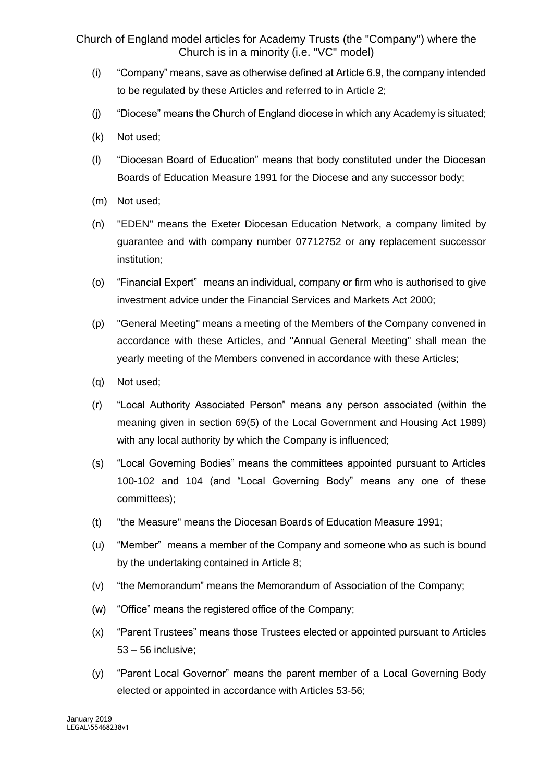- (i) "Company" means, save as otherwise defined at Article 6.9, the company intended to be regulated by these Articles and referred to in Article 2;
- (j) "Diocese" means the Church of England diocese in which any Academy is situated;
- (k) Not used;
- (l) "Diocesan Board of Education" means that body constituted under the Diocesan Boards of Education Measure 1991 for the Diocese and any successor body;
- (m) Not used;
- (n) ''EDEN'' means the Exeter Diocesan Education Network, a company limited by guarantee and with company number 07712752 or any replacement successor institution;
- (o) "Financial Expert" means an individual, company or firm who is authorised to give investment advice under the Financial Services and Markets Act 2000;
- (p) "General Meeting" means a meeting of the Members of the Company convened in accordance with these Articles, and "Annual General Meeting" shall mean the yearly meeting of the Members convened in accordance with these Articles;
- (q) Not used;
- (r) "Local Authority Associated Person" means any person associated (within the meaning given in section 69(5) of the Local Government and Housing Act 1989) with any local authority by which the Company is influenced;
- (s) "Local Governing Bodies" means the committees appointed pursuant to Articles 100-102 and 104 (and "Local Governing Body" means any one of these committees);
- (t) "the Measure" means the Diocesan Boards of Education Measure 1991;
- (u) "Member" means a member of the Company and someone who as such is bound by the undertaking contained in Article 8;
- (v) "the Memorandum" means the Memorandum of Association of the Company;
- (w) "Office" means the registered office of the Company;
- (x) "Parent Trustees" means those Trustees elected or appointed pursuant to Articles 53 – 56 inclusive;
- (y) "Parent Local Governor" means the parent member of a Local Governing Body elected or appointed in accordance with Articles 53-56;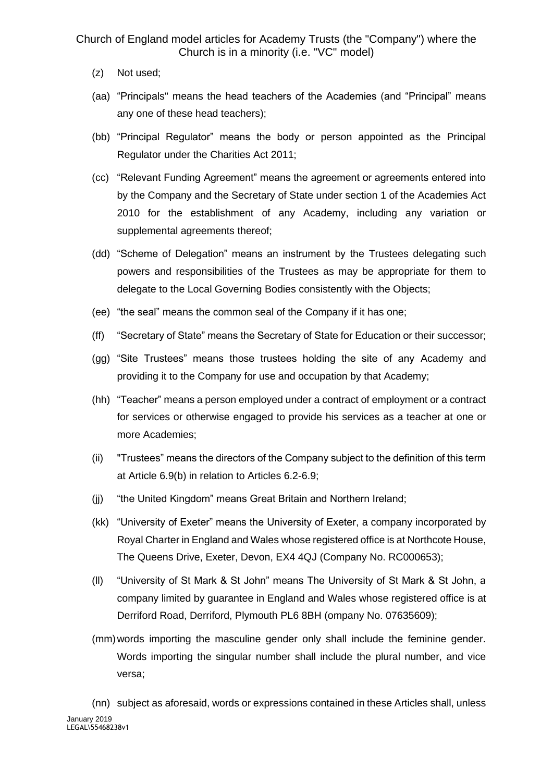- (z) Not used;
- (aa) "Principals" means the head teachers of the Academies (and "Principal" means any one of these head teachers);
- (bb) "Principal Regulator" means the body or person appointed as the Principal Regulator under the Charities Act 2011;
- (cc) "Relevant Funding Agreement" means the agreement or agreements entered into by the Company and the Secretary of State under section 1 of the Academies Act 2010 for the establishment of any Academy, including any variation or supplemental agreements thereof;
- (dd) "Scheme of Delegation" means an instrument by the Trustees delegating such powers and responsibilities of the Trustees as may be appropriate for them to delegate to the Local Governing Bodies consistently with the Objects;
- (ee) "the seal" means the common seal of the Company if it has one;
- (ff) "Secretary of State" means the Secretary of State for Education or their successor;
- (gg) "Site Trustees" means those trustees holding the site of any Academy and providing it to the Company for use and occupation by that Academy;
- (hh) "Teacher" means a person employed under a contract of employment or a contract for services or otherwise engaged to provide his services as a teacher at one or more Academies;
- (ii) "Trustees" means the directors of the Company subject to the definition of this term at Article 6.9(b) in relation to Articles 6.2-6.9;
- (jj) "the United Kingdom" means Great Britain and Northern Ireland;
- (kk) "University of Exeter" means the University of Exeter, a company incorporated by Royal Charter in England and Wales whose registered office is at Northcote House, The Queens Drive, Exeter, Devon, EX4 4QJ (Company No. RC000653);
- (ll) "University of St Mark & St John" means The University of St Mark & St John, a company limited by guarantee in England and Wales whose registered office is at Derriford Road, Derriford, Plymouth PL6 8BH (ompany No. 07635609);
- (mm)words importing the masculine gender only shall include the feminine gender. Words importing the singular number shall include the plural number, and vice versa;

January 2019 LEGAL\55468238v1 (nn) subject as aforesaid, words or expressions contained in these Articles shall, unless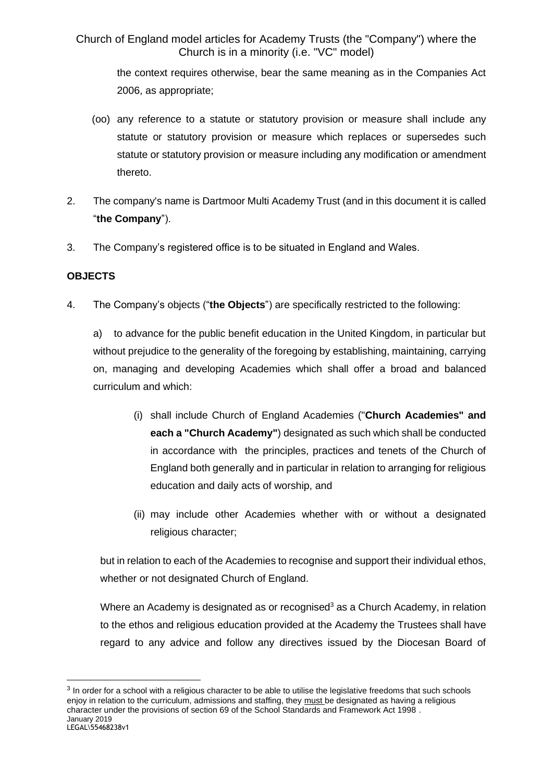> the context requires otherwise, bear the same meaning as in the Companies Act 2006, as appropriate;

- (oo) any reference to a statute or statutory provision or measure shall include any statute or statutory provision or measure which replaces or supersedes such statute or statutory provision or measure including any modification or amendment thereto.
- 2. The company's name is Dartmoor Multi Academy Trust (and in this document it is called "**the Company**").
- 3. The Company's registered office is to be situated in England and Wales.

## **OBJECTS**

4. The Company's objects ("**the Objects**") are specifically restricted to the following:

a) to advance for the public benefit education in the United Kingdom, in particular but without prejudice to the generality of the foregoing by establishing, maintaining, carrying on, managing and developing Academies which shall offer a broad and balanced curriculum and which:

- (i) shall include Church of England Academies ("**Church Academies" and each a "Church Academy"**) designated as such which shall be conducted in accordance with the principles, practices and tenets of the Church of England both generally and in particular in relation to arranging for religious education and daily acts of worship, and
- (ii) may include other Academies whether with or without a designated religious character;

but in relation to each of the Academies to recognise and support their individual ethos, whether or not designated Church of England.

Where an Academy is designated as or recognised<sup>3</sup> as a Church Academy, in relation to the ethos and religious education provided at the Academy the Trustees shall have regard to any advice and follow any directives issued by the Diocesan Board of

January 2019 LEGAL\55468238v1 <sup>3</sup> In order for a school with a religious character to be able to utilise the legislative freedoms that such schools enjoy in relation to the curriculum, admissions and staffing, they must be designated as having a religious character under the provisions of section 69 of the School Standards and Framework Act 1998 .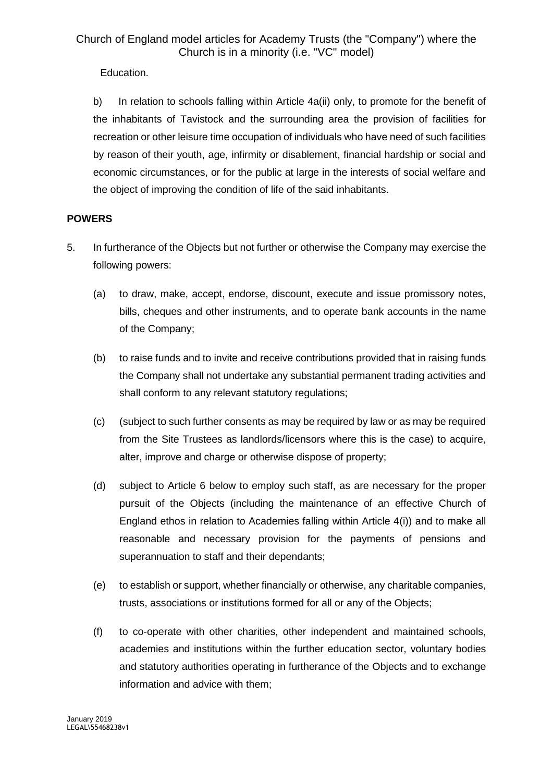Education.

b) In relation to schools falling within Article 4a(ii) only, to promote for the benefit of the inhabitants of Tavistock and the surrounding area the provision of facilities for recreation or other leisure time occupation of individuals who have need of such facilities by reason of their youth, age, infirmity or disablement, financial hardship or social and economic circumstances, or for the public at large in the interests of social welfare and the object of improving the condition of life of the said inhabitants.

## **POWERS**

- 5. In furtherance of the Objects but not further or otherwise the Company may exercise the following powers:
	- (a) to draw, make, accept, endorse, discount, execute and issue promissory notes, bills, cheques and other instruments, and to operate bank accounts in the name of the Company;
	- (b) to raise funds and to invite and receive contributions provided that in raising funds the Company shall not undertake any substantial permanent trading activities and shall conform to any relevant statutory regulations;
	- (c) (subject to such further consents as may be required by law or as may be required from the Site Trustees as landlords/licensors where this is the case) to acquire, alter, improve and charge or otherwise dispose of property;
	- (d) subject to Article 6 below to employ such staff, as are necessary for the proper pursuit of the Objects (including the maintenance of an effective Church of England ethos in relation to Academies falling within Article 4(i)) and to make all reasonable and necessary provision for the payments of pensions and superannuation to staff and their dependants;
	- (e) to establish or support, whether financially or otherwise, any charitable companies, trusts, associations or institutions formed for all or any of the Objects;
	- (f) to co-operate with other charities, other independent and maintained schools, academies and institutions within the further education sector, voluntary bodies and statutory authorities operating in furtherance of the Objects and to exchange information and advice with them;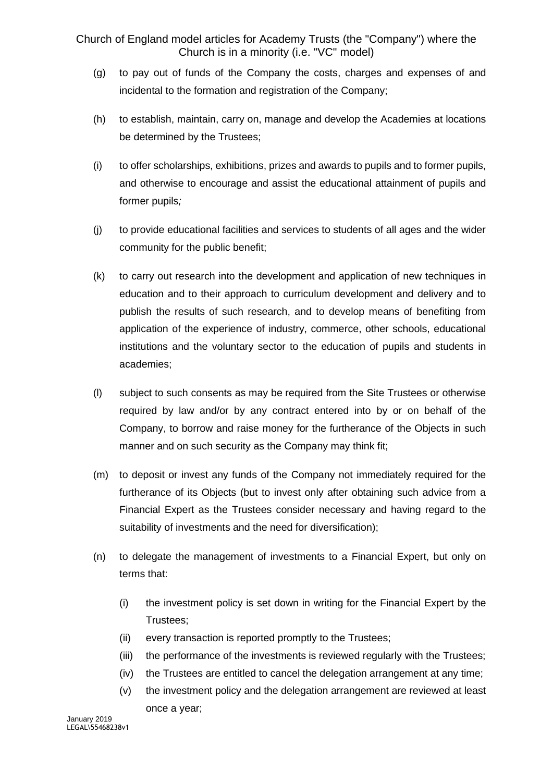- (g) to pay out of funds of the Company the costs, charges and expenses of and incidental to the formation and registration of the Company;
- (h) to establish, maintain, carry on, manage and develop the Academies at locations be determined by the Trustees;
- (i) to offer scholarships, exhibitions, prizes and awards to pupils and to former pupils, and otherwise to encourage and assist the educational attainment of pupils and former pupils*;*
- (j) to provide educational facilities and services to students of all ages and the wider community for the public benefit;
- (k) to carry out research into the development and application of new techniques in education and to their approach to curriculum development and delivery and to publish the results of such research, and to develop means of benefiting from application of the experience of industry, commerce, other schools, educational institutions and the voluntary sector to the education of pupils and students in academies;
- (l) subject to such consents as may be required from the Site Trustees or otherwise required by law and/or by any contract entered into by or on behalf of the Company, to borrow and raise money for the furtherance of the Objects in such manner and on such security as the Company may think fit;
- (m) to deposit or invest any funds of the Company not immediately required for the furtherance of its Objects (but to invest only after obtaining such advice from a Financial Expert as the Trustees consider necessary and having regard to the suitability of investments and the need for diversification);
- (n) to delegate the management of investments to a Financial Expert, but only on terms that:
	- (i) the investment policy is set down in writing for the Financial Expert by the Trustees;
	- (ii) every transaction is reported promptly to the Trustees;
	- (iii) the performance of the investments is reviewed regularly with the Trustees;
	- (iv) the Trustees are entitled to cancel the delegation arrangement at any time;
	- (v) the investment policy and the delegation arrangement are reviewed at least once a year;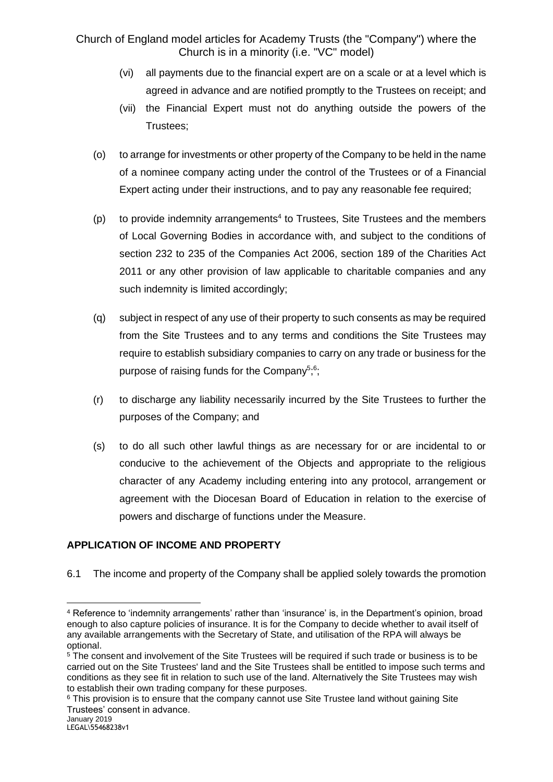- (vi) all payments due to the financial expert are on a scale or at a level which is agreed in advance and are notified promptly to the Trustees on receipt; and
- (vii) the Financial Expert must not do anything outside the powers of the Trustees;
- (o) to arrange for investments or other property of the Company to be held in the name of a nominee company acting under the control of the Trustees or of a Financial Expert acting under their instructions, and to pay any reasonable fee required;
- $(p)$  to provide indemnity arrangements<sup>4</sup> to Trustees, Site Trustees and the members of Local Governing Bodies in accordance with, and subject to the conditions of section 232 to 235 of the Companies Act 2006, section 189 of the Charities Act 2011 or any other provision of law applicable to charitable companies and any such indemnity is limited accordingly;
- (q) subject in respect of any use of their property to such consents as may be required from the Site Trustees and to any terms and conditions the Site Trustees may require to establish subsidiary companies to carry on any trade or business for the purpose of raising funds for the Company<sup>5</sup>;<sup>6</sup>;
- (r) to discharge any liability necessarily incurred by the Site Trustees to further the purposes of the Company; and
- (s) to do all such other lawful things as are necessary for or are incidental to or conducive to the achievement of the Objects and appropriate to the religious character of any Academy including entering into any protocol, arrangement or agreement with the Diocesan Board of Education in relation to the exercise of powers and discharge of functions under the Measure.

## **APPLICATION OF INCOME AND PROPERTY**

6.1 The income and property of the Company shall be applied solely towards the promotion

<sup>4</sup> Reference to 'indemnity arrangements' rather than 'insurance' is, in the Department's opinion, broad enough to also capture policies of insurance. It is for the Company to decide whether to avail itself of any available arrangements with the Secretary of State, and utilisation of the RPA will always be optional.

<sup>5</sup> The consent and involvement of the Site Trustees will be required if such trade or business is to be carried out on the Site Trustees' land and the Site Trustees shall be entitled to impose such terms and conditions as they see fit in relation to such use of the land. Alternatively the Site Trustees may wish to establish their own trading company for these purposes.

<sup>&</sup>lt;sup>6</sup> This provision is to ensure that the company cannot use Site Trustee land without gaining Site Trustees' consent in advance.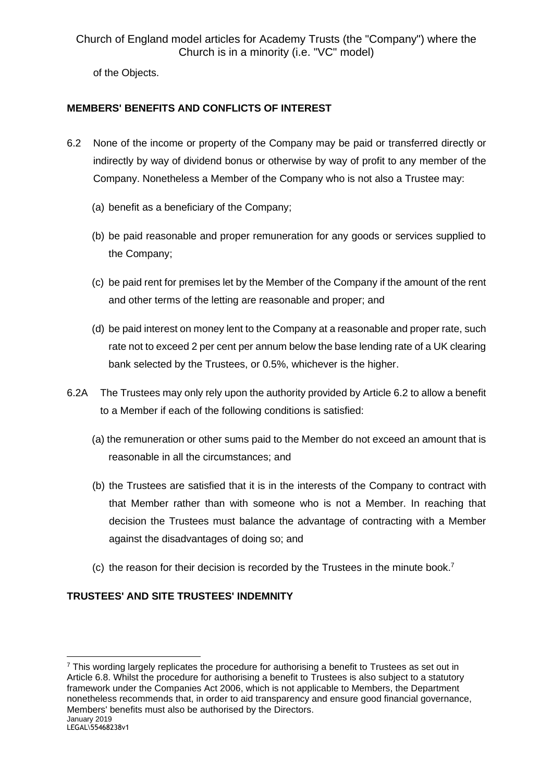of the Objects.

## **MEMBERS' BENEFITS AND CONFLICTS OF INTEREST**

- 6.2 None of the income or property of the Company may be paid or transferred directly or indirectly by way of dividend bonus or otherwise by way of profit to any member of the Company. Nonetheless a Member of the Company who is not also a Trustee may:
	- (a) benefit as a beneficiary of the Company;
	- (b) be paid reasonable and proper remuneration for any goods or services supplied to the Company;
	- (c) be paid rent for premises let by the Member of the Company if the amount of the rent and other terms of the letting are reasonable and proper; and
	- (d) be paid interest on money lent to the Company at a reasonable and proper rate, such rate not to exceed 2 per cent per annum below the base lending rate of a UK clearing bank selected by the Trustees, or 0.5%, whichever is the higher.
- 6.2A The Trustees may only rely upon the authority provided by Article 6.2 to allow a benefit to a Member if each of the following conditions is satisfied:
	- (a) the remuneration or other sums paid to the Member do not exceed an amount that is reasonable in all the circumstances; and
	- (b) the Trustees are satisfied that it is in the interests of the Company to contract with that Member rather than with someone who is not a Member. In reaching that decision the Trustees must balance the advantage of contracting with a Member against the disadvantages of doing so; and
	- (c) the reason for their decision is recorded by the Trustees in the minute book. 7

# **TRUSTEES' AND SITE TRUSTEES' INDEMNITY**

January 2019 LEGAL\55468238v1  $7$  This wording largely replicates the procedure for authorising a benefit to Trustees as set out in Article 6.8. Whilst the procedure for authorising a benefit to Trustees is also subject to a statutory framework under the Companies Act 2006, which is not applicable to Members, the Department nonetheless recommends that, in order to aid transparency and ensure good financial governance, Members' benefits must also be authorised by the Directors.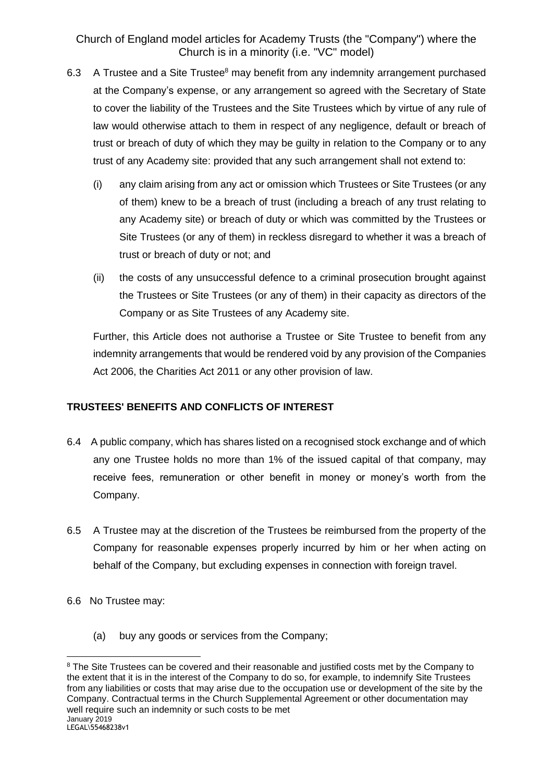- 6.3 A Trustee and a Site Trustee<sup>8</sup> may benefit from any indemnity arrangement purchased at the Company's expense, or any arrangement so agreed with the Secretary of State to cover the liability of the Trustees and the Site Trustees which by virtue of any rule of law would otherwise attach to them in respect of any negligence, default or breach of trust or breach of duty of which they may be guilty in relation to the Company or to any trust of any Academy site: provided that any such arrangement shall not extend to:
	- (i) any claim arising from any act or omission which Trustees or Site Trustees (or any of them) knew to be a breach of trust (including a breach of any trust relating to any Academy site) or breach of duty or which was committed by the Trustees or Site Trustees (or any of them) in reckless disregard to whether it was a breach of trust or breach of duty or not; and
	- (ii) the costs of any unsuccessful defence to a criminal prosecution brought against the Trustees or Site Trustees (or any of them) in their capacity as directors of the Company or as Site Trustees of any Academy site.

Further, this Article does not authorise a Trustee or Site Trustee to benefit from any indemnity arrangements that would be rendered void by any provision of the Companies Act 2006, the Charities Act 2011 or any other provision of law.

# **TRUSTEES' BENEFITS AND CONFLICTS OF INTEREST**

- 6.4 A public company, which has shares listed on a recognised stock exchange and of which any one Trustee holds no more than 1% of the issued capital of that company, may receive fees, remuneration or other benefit in money or money's worth from the Company.
- 6.5 A Trustee may at the discretion of the Trustees be reimbursed from the property of the Company for reasonable expenses properly incurred by him or her when acting on behalf of the Company, but excluding expenses in connection with foreign travel.
- 6.6 No Trustee may:
	- (a) buy any goods or services from the Company;

January 2019 LEGAL\55468238v1 <sup>8</sup> The Site Trustees can be covered and their reasonable and justified costs met by the Company to the extent that it is in the interest of the Company to do so, for example, to indemnify Site Trustees from any liabilities or costs that may arise due to the occupation use or development of the site by the Company. Contractual terms in the Church Supplemental Agreement or other documentation may well require such an indemnity or such costs to be met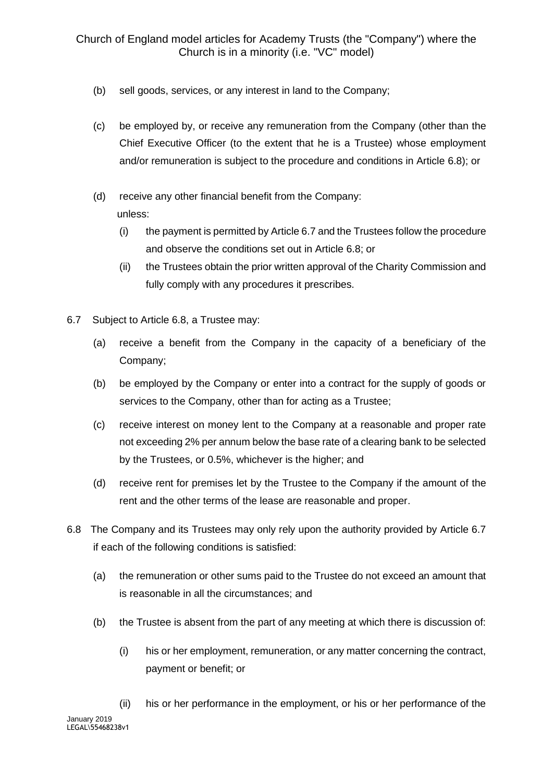- (b) sell goods, services, or any interest in land to the Company;
- (c) be employed by, or receive any remuneration from the Company (other than the Chief Executive Officer (to the extent that he is a Trustee) whose employment and/or remuneration is subject to the procedure and conditions in Article 6.8); or
- (d) receive any other financial benefit from the Company: unless:
	- (i) the payment is permitted by Article 6.7 and the Trustees follow the procedure and observe the conditions set out in Article 6.8; or
	- (ii) the Trustees obtain the prior written approval of the Charity Commission and fully comply with any procedures it prescribes.
- 6.7 Subject to Article 6.8, a Trustee may:
	- (a) receive a benefit from the Company in the capacity of a beneficiary of the Company;
	- (b) be employed by the Company or enter into a contract for the supply of goods or services to the Company, other than for acting as a Trustee;
	- (c) receive interest on money lent to the Company at a reasonable and proper rate not exceeding 2% per annum below the base rate of a clearing bank to be selected by the Trustees, or 0.5%, whichever is the higher; and
	- (d) receive rent for premises let by the Trustee to the Company if the amount of the rent and the other terms of the lease are reasonable and proper.
- 6.8 The Company and its Trustees may only rely upon the authority provided by Article 6.7 if each of the following conditions is satisfied:
	- (a) the remuneration or other sums paid to the Trustee do not exceed an amount that is reasonable in all the circumstances; and
	- (b) the Trustee is absent from the part of any meeting at which there is discussion of:
		- (i) his or her employment, remuneration, or any matter concerning the contract, payment or benefit; or
- January 2019 LEGAL\55468238v1 (ii) his or her performance in the employment, or his or her performance of the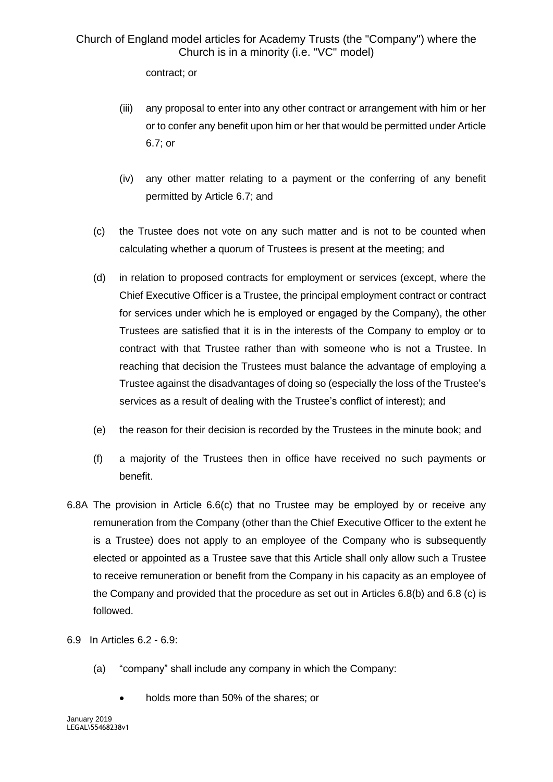contract; or

- (iii) any proposal to enter into any other contract or arrangement with him or her or to confer any benefit upon him or her that would be permitted under Article 6.7; or
- (iv) any other matter relating to a payment or the conferring of any benefit permitted by Article 6.7; and
- (c) the Trustee does not vote on any such matter and is not to be counted when calculating whether a quorum of Trustees is present at the meeting; and
- (d) in relation to proposed contracts for employment or services (except, where the Chief Executive Officer is a Trustee, the principal employment contract or contract for services under which he is employed or engaged by the Company), the other Trustees are satisfied that it is in the interests of the Company to employ or to contract with that Trustee rather than with someone who is not a Trustee. In reaching that decision the Trustees must balance the advantage of employing a Trustee against the disadvantages of doing so (especially the loss of the Trustee's services as a result of dealing with the Trustee's conflict of interest); and
- (e) the reason for their decision is recorded by the Trustees in the minute book; and
- (f) a majority of the Trustees then in office have received no such payments or benefit.
- 6.8A The provision in Article 6.6(c) that no Trustee may be employed by or receive any remuneration from the Company (other than the Chief Executive Officer to the extent he is a Trustee) does not apply to an employee of the Company who is subsequently elected or appointed as a Trustee save that this Article shall only allow such a Trustee to receive remuneration or benefit from the Company in his capacity as an employee of the Company and provided that the procedure as set out in Articles 6.8(b) and 6.8 (c) is followed.
- 6.9 In Articles 6.2 6.9:
	- (a) "company" shall include any company in which the Company:
		- holds more than 50% of the shares; or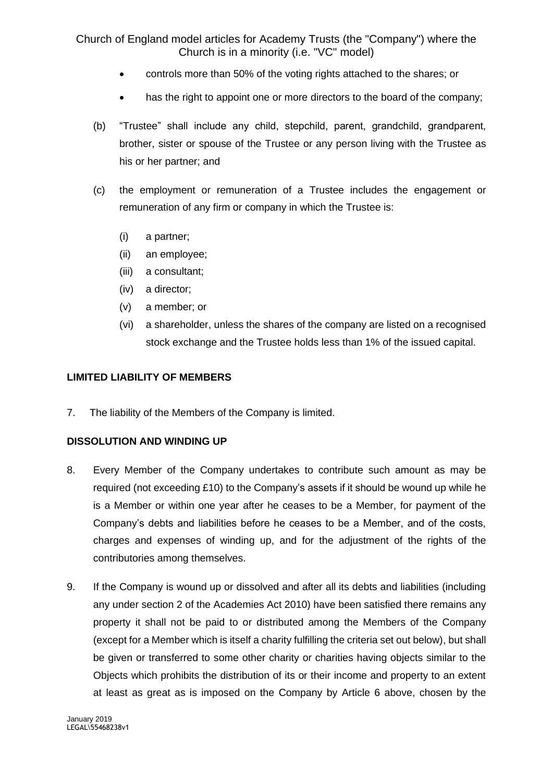- controls more than 50% of the voting rights attached to the shares; or
- has the right to appoint one or more directors to the board of the company;
- (b) "Trustee" shall include any child, stepchild, parent, grandchild, grandparent, brother, sister or spouse of the Trustee or any person living with the Trustee as his or her partner; and
- (c) the employment or remuneration of a Trustee includes the engagement or remuneration of any firm or company in which the Trustee is:
	- (i) a partner;
	- (ii) an employee;
	- (iii) a consultant;
	- (iv) a director;
	- (v) a member; or
	- (vi) a shareholder, unless the shares of the company are listed on a recognised stock exchange and the Trustee holds less than 1% of the issued capital.

#### **LIMITED LIABILITY OF MEMBERS**

7. The liability of the Members of the Company is limited.

#### **DISSOLUTION AND WINDING UP**

- 8. Every Member of the Company undertakes to contribute such amount as may be required (not exceeding £10) to the Company's assets if it should be wound up while he is a Member or within one year after he ceases to be a Member, for payment of the Company's debts and liabilities before he ceases to be a Member, and of the costs, charges and expenses of winding up, and for the adjustment of the rights of the contributories among themselves.
- 9. If the Company is wound up or dissolved and after all its debts and liabilities (including any under section 2 of the Academies Act 2010) have been satisfied there remains any property it shall not be paid to or distributed among the Members of the Company (except for a Member which is itself a charity fulfilling the criteria set out below), but shall be given or transferred to some other charity or charities having objects similar to the Objects which prohibits the distribution of its or their income and property to an extent at least as great as is imposed on the Company by Article 6 above, chosen by the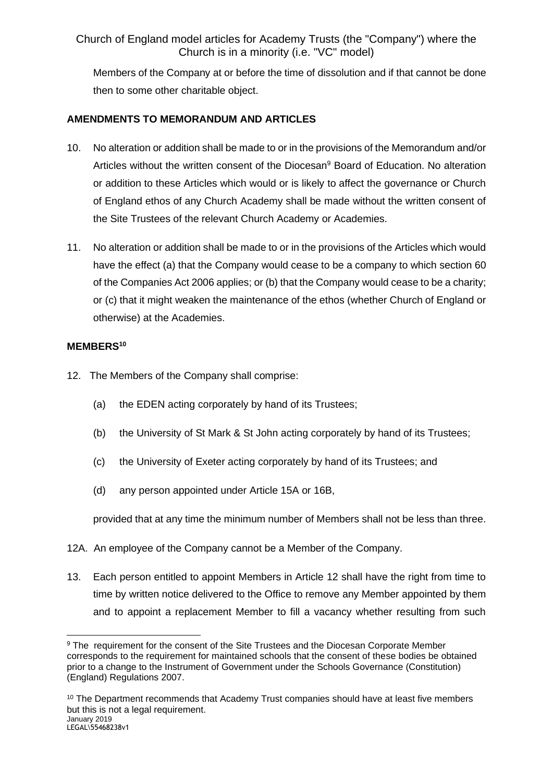Members of the Company at or before the time of dissolution and if that cannot be done then to some other charitable object.

## **AMENDMENTS TO MEMORANDUM AND ARTICLES**

- 10. No alteration or addition shall be made to or in the provisions of the Memorandum and/or Articles without the written consent of the Diocesan $9$  Board of Education. No alteration or addition to these Articles which would or is likely to affect the governance or Church of England ethos of any Church Academy shall be made without the written consent of the Site Trustees of the relevant Church Academy or Academies.
- 11. No alteration or addition shall be made to or in the provisions of the Articles which would have the effect (a) that the Company would cease to be a company to which section 60 of the Companies Act 2006 applies; or (b) that the Company would cease to be a charity; or (c) that it might weaken the maintenance of the ethos (whether Church of England or otherwise) at the Academies.

## **MEMBERS<sup>10</sup>**

- 12. The Members of the Company shall comprise:
	- (a) the EDEN acting corporately by hand of its Trustees;
	- (b) the University of St Mark & St John acting corporately by hand of its Trustees;
	- (c) the University of Exeter acting corporately by hand of its Trustees; and
	- (d) any person appointed under Article 15A or 16B,

provided that at any time the minimum number of Members shall not be less than three.

- 12A. An employee of the Company cannot be a Member of the Company.
- 13. Each person entitled to appoint Members in Article 12 shall have the right from time to time by written notice delivered to the Office to remove any Member appointed by them and to appoint a replacement Member to fill a vacancy whether resulting from such

<sup>&</sup>lt;sup>9</sup> The requirement for the consent of the Site Trustees and the Diocesan Corporate Member corresponds to the requirement for maintained schools that the consent of these bodies be obtained prior to a change to the Instrument of Government under the Schools Governance (Constitution) (England) Regulations 2007.

January 2019 LEGAL\55468238v1 <sup>10</sup> The Department recommends that Academy Trust companies should have at least five members but this is not a legal requirement.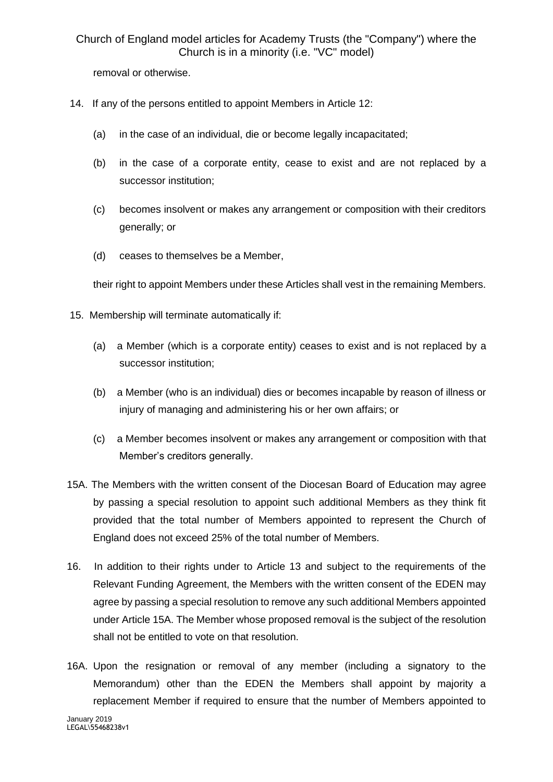removal or otherwise.

- 14. If any of the persons entitled to appoint Members in Article 12:
	- (a) in the case of an individual, die or become legally incapacitated;
	- (b) in the case of a corporate entity, cease to exist and are not replaced by a successor institution;
	- (c) becomes insolvent or makes any arrangement or composition with their creditors generally; or
	- (d) ceases to themselves be a Member,

their right to appoint Members under these Articles shall vest in the remaining Members.

- 15. Membership will terminate automatically if:
	- (a) a Member (which is a corporate entity) ceases to exist and is not replaced by a successor institution;
	- (b) a Member (who is an individual) dies or becomes incapable by reason of illness or injury of managing and administering his or her own affairs; or
	- (c) a Member becomes insolvent or makes any arrangement or composition with that Member's creditors generally.
- 15A. The Members with the written consent of the Diocesan Board of Education may agree by passing a special resolution to appoint such additional Members as they think fit provided that the total number of Members appointed to represent the Church of England does not exceed 25% of the total number of Members.
- 16. In addition to their rights under to Article 13 and subject to the requirements of the Relevant Funding Agreement, the Members with the written consent of the EDEN may agree by passing a special resolution to remove any such additional Members appointed under Article 15A. The Member whose proposed removal is the subject of the resolution shall not be entitled to vote on that resolution.
- 16A. Upon the resignation or removal of any member (including a signatory to the Memorandum) other than the EDEN the Members shall appoint by majority a replacement Member if required to ensure that the number of Members appointed to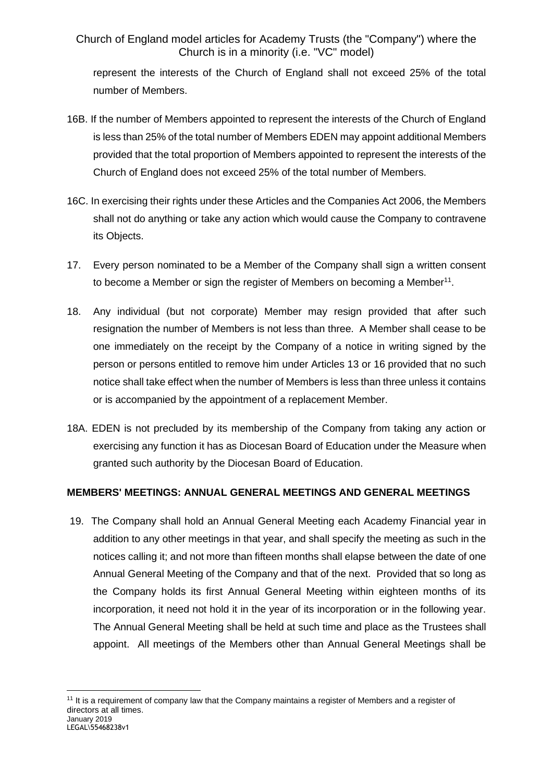represent the interests of the Church of England shall not exceed 25% of the total number of Members.

- 16B. If the number of Members appointed to represent the interests of the Church of England is less than 25% of the total number of Members EDEN may appoint additional Members provided that the total proportion of Members appointed to represent the interests of the Church of England does not exceed 25% of the total number of Members.
- 16C. In exercising their rights under these Articles and the Companies Act 2006, the Members shall not do anything or take any action which would cause the Company to contravene its Objects.
- 17. Every person nominated to be a Member of the Company shall sign a written consent to become a Member or sign the register of Members on becoming a Member<sup>11</sup>.
- 18. Any individual (but not corporate) Member may resign provided that after such resignation the number of Members is not less than three. A Member shall cease to be one immediately on the receipt by the Company of a notice in writing signed by the person or persons entitled to remove him under Articles 13 or 16 provided that no such notice shall take effect when the number of Members is less than three unless it contains or is accompanied by the appointment of a replacement Member.
- 18A. EDEN is not precluded by its membership of the Company from taking any action or exercising any function it has as Diocesan Board of Education under the Measure when granted such authority by the Diocesan Board of Education.

## **MEMBERS' MEETINGS: ANNUAL GENERAL MEETINGS AND GENERAL MEETINGS**

19. The Company shall hold an Annual General Meeting each Academy Financial year in addition to any other meetings in that year, and shall specify the meeting as such in the notices calling it; and not more than fifteen months shall elapse between the date of one Annual General Meeting of the Company and that of the next. Provided that so long as the Company holds its first Annual General Meeting within eighteen months of its incorporation, it need not hold it in the year of its incorporation or in the following year. The Annual General Meeting shall be held at such time and place as the Trustees shall appoint. All meetings of the Members other than Annual General Meetings shall be

January 2019 LEGAL\55468238v1 <sup>11</sup> It is a requirement of company law that the Company maintains a register of Members and a register of directors at all times.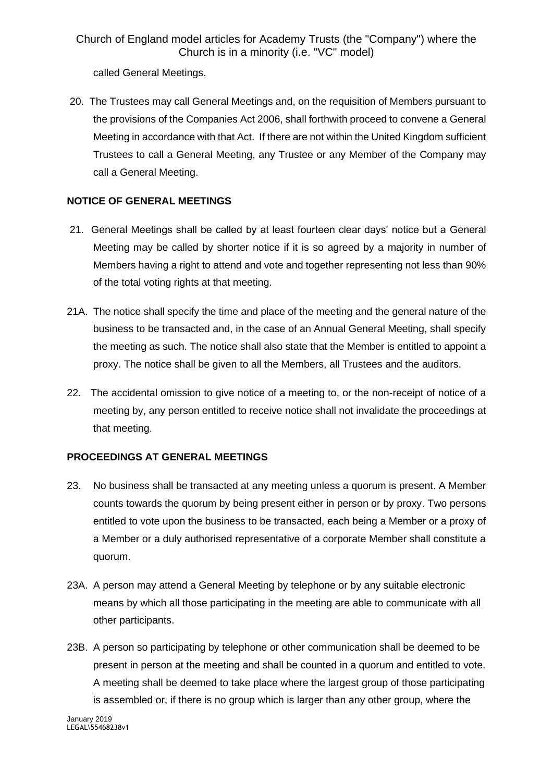called General Meetings.

20. The Trustees may call General Meetings and, on the requisition of Members pursuant to the provisions of the Companies Act 2006, shall forthwith proceed to convene a General Meeting in accordance with that Act. If there are not within the United Kingdom sufficient Trustees to call a General Meeting, any Trustee or any Member of the Company may call a General Meeting.

## **NOTICE OF GENERAL MEETINGS**

- 21. General Meetings shall be called by at least fourteen clear days' notice but a General Meeting may be called by shorter notice if it is so agreed by a majority in number of Members having a right to attend and vote and together representing not less than 90% of the total voting rights at that meeting.
- 21A. The notice shall specify the time and place of the meeting and the general nature of the business to be transacted and, in the case of an Annual General Meeting, shall specify the meeting as such. The notice shall also state that the Member is entitled to appoint a proxy. The notice shall be given to all the Members, all Trustees and the auditors.
- 22. The accidental omission to give notice of a meeting to, or the non-receipt of notice of a meeting by, any person entitled to receive notice shall not invalidate the proceedings at that meeting.

## **PROCEEDINGS AT GENERAL MEETINGS**

- 23. No business shall be transacted at any meeting unless a quorum is present. A Member counts towards the quorum by being present either in person or by proxy. Two persons entitled to vote upon the business to be transacted, each being a Member or a proxy of a Member or a duly authorised representative of a corporate Member shall constitute a quorum.
- 23A. A person may attend a General Meeting by telephone or by any suitable electronic means by which all those participating in the meeting are able to communicate with all other participants.
- 23B. A person so participating by telephone or other communication shall be deemed to be present in person at the meeting and shall be counted in a quorum and entitled to vote. A meeting shall be deemed to take place where the largest group of those participating is assembled or, if there is no group which is larger than any other group, where the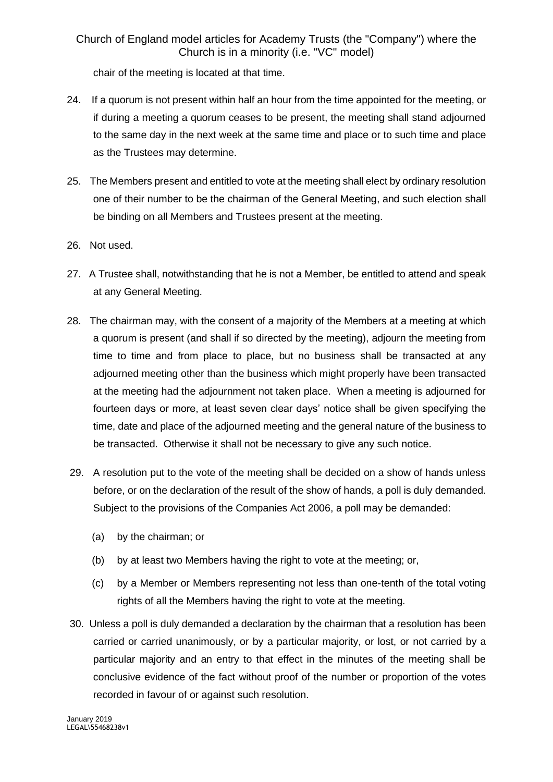chair of the meeting is located at that time.

- 24. If a quorum is not present within half an hour from the time appointed for the meeting, or if during a meeting a quorum ceases to be present, the meeting shall stand adjourned to the same day in the next week at the same time and place or to such time and place as the Trustees may determine.
- 25. The Members present and entitled to vote at the meeting shall elect by ordinary resolution one of their number to be the chairman of the General Meeting, and such election shall be binding on all Members and Trustees present at the meeting.
- 26. Not used.
- 27. A Trustee shall, notwithstanding that he is not a Member, be entitled to attend and speak at any General Meeting.
- 28. The chairman may, with the consent of a majority of the Members at a meeting at which a quorum is present (and shall if so directed by the meeting), adjourn the meeting from time to time and from place to place, but no business shall be transacted at any adjourned meeting other than the business which might properly have been transacted at the meeting had the adjournment not taken place. When a meeting is adjourned for fourteen days or more, at least seven clear days' notice shall be given specifying the time, date and place of the adjourned meeting and the general nature of the business to be transacted. Otherwise it shall not be necessary to give any such notice.
- 29. A resolution put to the vote of the meeting shall be decided on a show of hands unless before, or on the declaration of the result of the show of hands, a poll is duly demanded. Subject to the provisions of the Companies Act 2006, a poll may be demanded:
	- (a) by the chairman; or
	- (b) by at least two Members having the right to vote at the meeting; or,
	- (c) by a Member or Members representing not less than one-tenth of the total voting rights of all the Members having the right to vote at the meeting.
- 30. Unless a poll is duly demanded a declaration by the chairman that a resolution has been carried or carried unanimously, or by a particular majority, or lost, or not carried by a particular majority and an entry to that effect in the minutes of the meeting shall be conclusive evidence of the fact without proof of the number or proportion of the votes recorded in favour of or against such resolution.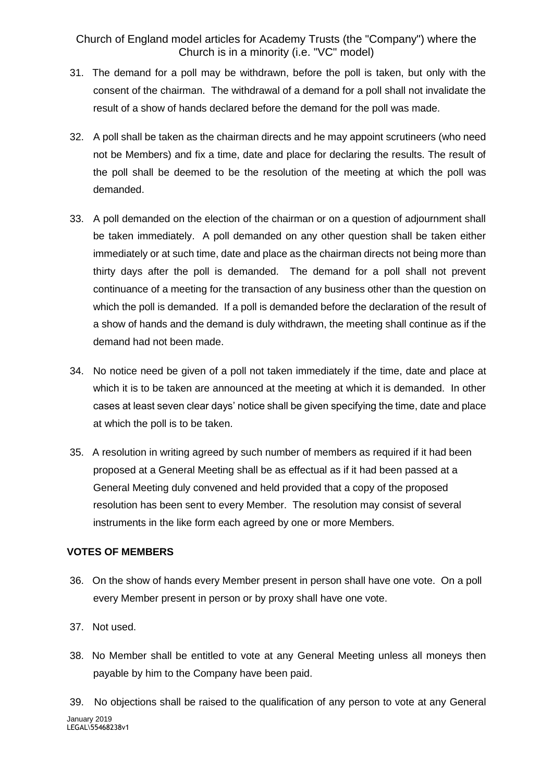- 31. The demand for a poll may be withdrawn, before the poll is taken, but only with the consent of the chairman. The withdrawal of a demand for a poll shall not invalidate the result of a show of hands declared before the demand for the poll was made.
- 32. A poll shall be taken as the chairman directs and he may appoint scrutineers (who need not be Members) and fix a time, date and place for declaring the results. The result of the poll shall be deemed to be the resolution of the meeting at which the poll was demanded.
- 33. A poll demanded on the election of the chairman or on a question of adjournment shall be taken immediately. A poll demanded on any other question shall be taken either immediately or at such time, date and place as the chairman directs not being more than thirty days after the poll is demanded. The demand for a poll shall not prevent continuance of a meeting for the transaction of any business other than the question on which the poll is demanded. If a poll is demanded before the declaration of the result of a show of hands and the demand is duly withdrawn, the meeting shall continue as if the demand had not been made.
- 34. No notice need be given of a poll not taken immediately if the time, date and place at which it is to be taken are announced at the meeting at which it is demanded. In other cases at least seven clear days' notice shall be given specifying the time, date and place at which the poll is to be taken.
- 35. A resolution in writing agreed by such number of members as required if it had been proposed at a General Meeting shall be as effectual as if it had been passed at a General Meeting duly convened and held provided that a copy of the proposed resolution has been sent to every Member. The resolution may consist of several instruments in the like form each agreed by one or more Members.

## **VOTES OF MEMBERS**

- 36. On the show of hands every Member present in person shall have one vote. On a poll every Member present in person or by proxy shall have one vote.
- 37. Not used.
- 38. No Member shall be entitled to vote at any General Meeting unless all moneys then payable by him to the Company have been paid.

January 2019 LEGAL\55468238v1 39. No objections shall be raised to the qualification of any person to vote at any General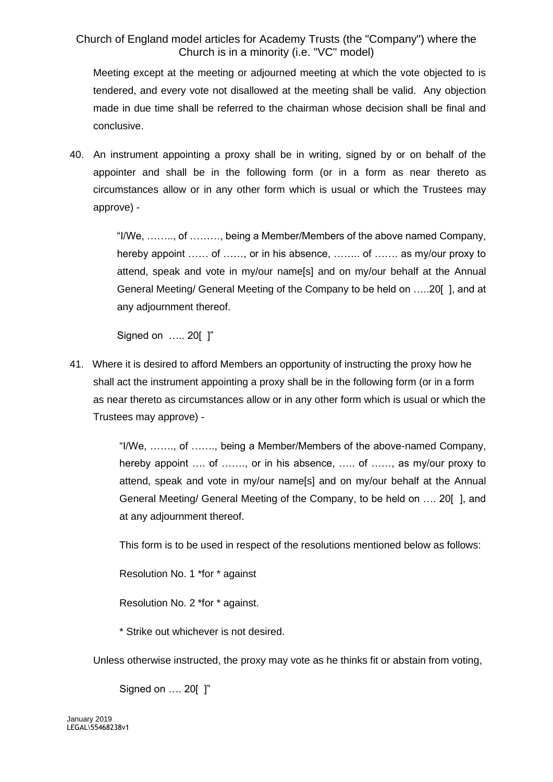Meeting except at the meeting or adjourned meeting at which the vote objected to is tendered, and every vote not disallowed at the meeting shall be valid. Any objection made in due time shall be referred to the chairman whose decision shall be final and conclusive.

40. An instrument appointing a proxy shall be in writing, signed by or on behalf of the appointer and shall be in the following form (or in a form as near thereto as circumstances allow or in any other form which is usual or which the Trustees may approve) -

> "I/We, …….., of ………, being a Member/Members of the above named Company, hereby appoint …… of ……, or in his absence, ……… of …… as my/our proxy to attend, speak and vote in my/our name[s] and on my/our behalf at the Annual General Meeting/ General Meeting of the Company to be held on …..20[ ], and at any adjournment thereof.

Signed on ….. 20[ ]"

41. Where it is desired to afford Members an opportunity of instructing the proxy how he shall act the instrument appointing a proxy shall be in the following form (or in a form as near thereto as circumstances allow or in any other form which is usual or which the Trustees may approve) -

> "I/We, ……., of ……., being a Member/Members of the above-named Company, hereby appoint .... of ......., or in his absence, ..... of ......, as my/our proxy to attend, speak and vote in my/our name[s] and on my/our behalf at the Annual General Meeting/ General Meeting of the Company, to be held on …. 20[ ], and at any adjournment thereof.

This form is to be used in respect of the resolutions mentioned below as follows:

Resolution No. 1 \*for \* against

Resolution No. 2 \*for \* against.

\* Strike out whichever is not desired.

Unless otherwise instructed, the proxy may vote as he thinks fit or abstain from voting,

Signed on …. 20[ ]"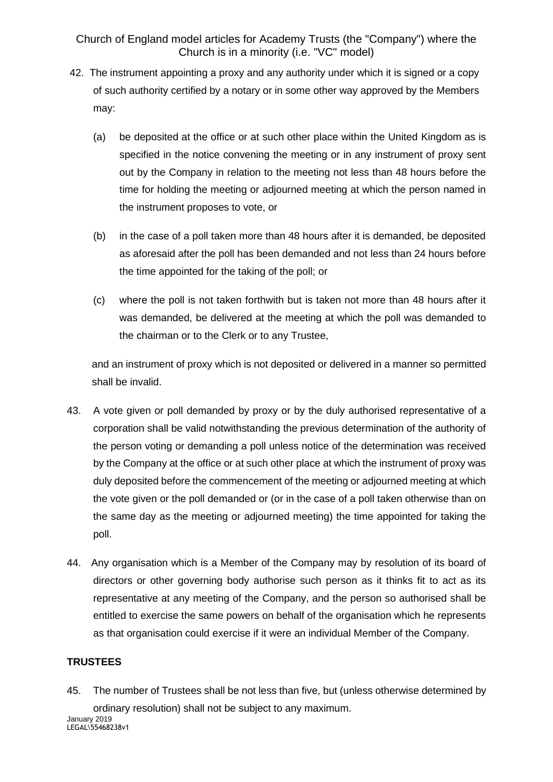- 42. The instrument appointing a proxy and any authority under which it is signed or a copy of such authority certified by a notary or in some other way approved by the Members may:
	- (a) be deposited at the office or at such other place within the United Kingdom as is specified in the notice convening the meeting or in any instrument of proxy sent out by the Company in relation to the meeting not less than 48 hours before the time for holding the meeting or adjourned meeting at which the person named in the instrument proposes to vote, or
	- (b) in the case of a poll taken more than 48 hours after it is demanded, be deposited as aforesaid after the poll has been demanded and not less than 24 hours before the time appointed for the taking of the poll; or
	- (c) where the poll is not taken forthwith but is taken not more than 48 hours after it was demanded, be delivered at the meeting at which the poll was demanded to the chairman or to the Clerk or to any Trustee,

and an instrument of proxy which is not deposited or delivered in a manner so permitted shall be invalid.

- 43. A vote given or poll demanded by proxy or by the duly authorised representative of a corporation shall be valid notwithstanding the previous determination of the authority of the person voting or demanding a poll unless notice of the determination was received by the Company at the office or at such other place at which the instrument of proxy was duly deposited before the commencement of the meeting or adjourned meeting at which the vote given or the poll demanded or (or in the case of a poll taken otherwise than on the same day as the meeting or adjourned meeting) the time appointed for taking the poll.
- 44. Any organisation which is a Member of the Company may by resolution of its board of directors or other governing body authorise such person as it thinks fit to act as its representative at any meeting of the Company, and the person so authorised shall be entitled to exercise the same powers on behalf of the organisation which he represents as that organisation could exercise if it were an individual Member of the Company.

# **TRUSTEES**

January 2019 LEGAL\55468238v1 45. The number of Trustees shall be not less than five, but (unless otherwise determined by ordinary resolution) shall not be subject to any maximum.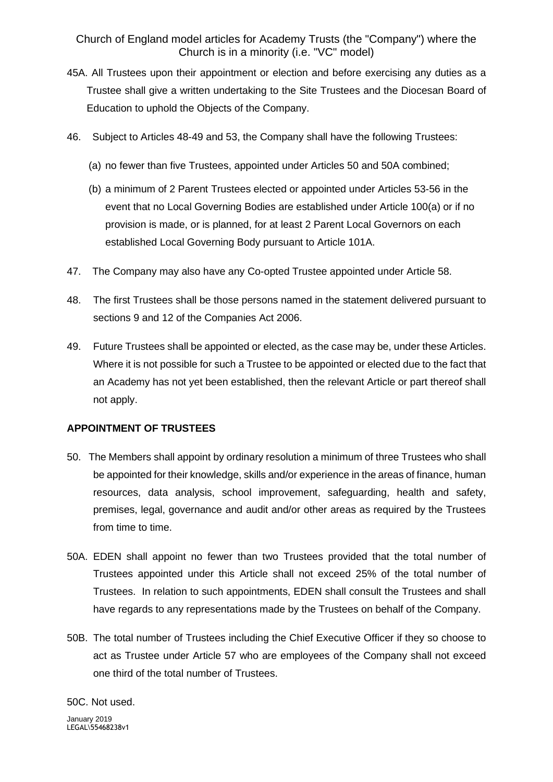- 45A. All Trustees upon their appointment or election and before exercising any duties as a Trustee shall give a written undertaking to the Site Trustees and the Diocesan Board of Education to uphold the Objects of the Company.
- 46. Subject to Articles 48-49 and 53, the Company shall have the following Trustees:
	- (a) no fewer than five Trustees, appointed under Articles 50 and 50A combined;
	- (b) a minimum of 2 Parent Trustees elected or appointed under Articles 53-56 in the event that no Local Governing Bodies are established under Article 100(a) or if no provision is made, or is planned, for at least 2 Parent Local Governors on each established Local Governing Body pursuant to Article 101A.
- 47. The Company may also have any Co-opted Trustee appointed under Article 58.
- 48. The first Trustees shall be those persons named in the statement delivered pursuant to sections 9 and 12 of the Companies Act 2006.
- 49. Future Trustees shall be appointed or elected, as the case may be, under these Articles. Where it is not possible for such a Trustee to be appointed or elected due to the fact that an Academy has not yet been established, then the relevant Article or part thereof shall not apply.

## **APPOINTMENT OF TRUSTEES**

- 50. The Members shall appoint by ordinary resolution a minimum of three Trustees who shall be appointed for their knowledge, skills and/or experience in the areas of finance, human resources, data analysis, school improvement, safeguarding, health and safety, premises, legal, governance and audit and/or other areas as required by the Trustees from time to time.
- 50A. EDEN shall appoint no fewer than two Trustees provided that the total number of Trustees appointed under this Article shall not exceed 25% of the total number of Trustees. In relation to such appointments, EDEN shall consult the Trustees and shall have regards to any representations made by the Trustees on behalf of the Company.
- 50B. The total number of Trustees including the Chief Executive Officer if they so choose to act as Trustee under Article 57 who are employees of the Company shall not exceed one third of the total number of Trustees.

January 2019 LEGAL\55468238v1 50C. Not used.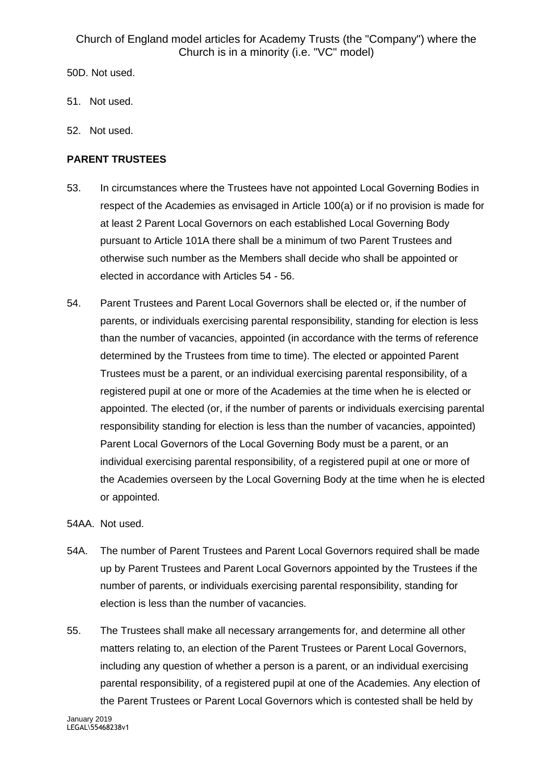50D. Not used.

- 51. Not used.
- 52. Not used.

## **PARENT TRUSTEES**

- 53. In circumstances where the Trustees have not appointed Local Governing Bodies in respect of the Academies as envisaged in Article 100(a) or if no provision is made for at least 2 Parent Local Governors on each established Local Governing Body pursuant to Article 101A there shall be a minimum of two Parent Trustees and otherwise such number as the Members shall decide who shall be appointed or elected in accordance with Articles 54 - 56.
- 54. Parent Trustees and Parent Local Governors shall be elected or, if the number of parents, or individuals exercising parental responsibility, standing for election is less than the number of vacancies, appointed (in accordance with the terms of reference determined by the Trustees from time to time). The elected or appointed Parent Trustees must be a parent, or an individual exercising parental responsibility, of a registered pupil at one or more of the Academies at the time when he is elected or appointed. The elected (or, if the number of parents or individuals exercising parental responsibility standing for election is less than the number of vacancies, appointed) Parent Local Governors of the Local Governing Body must be a parent, or an individual exercising parental responsibility, of a registered pupil at one or more of the Academies overseen by the Local Governing Body at the time when he is elected or appointed.

54AA. Not used.

- 54A. The number of Parent Trustees and Parent Local Governors required shall be made up by Parent Trustees and Parent Local Governors appointed by the Trustees if the number of parents, or individuals exercising parental responsibility, standing for election is less than the number of vacancies.
- 55. The Trustees shall make all necessary arrangements for, and determine all other matters relating to, an election of the Parent Trustees or Parent Local Governors, including any question of whether a person is a parent, or an individual exercising parental responsibility, of a registered pupil at one of the Academies. Any election of the Parent Trustees or Parent Local Governors which is contested shall be held by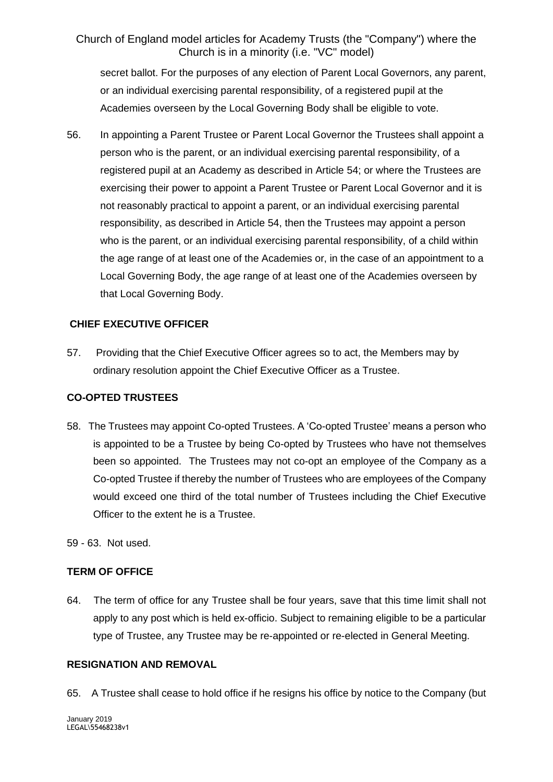secret ballot. For the purposes of any election of Parent Local Governors, any parent, or an individual exercising parental responsibility, of a registered pupil at the Academies overseen by the Local Governing Body shall be eligible to vote.

56. In appointing a Parent Trustee or Parent Local Governor the Trustees shall appoint a person who is the parent, or an individual exercising parental responsibility, of a registered pupil at an Academy as described in Article 54; or where the Trustees are exercising their power to appoint a Parent Trustee or Parent Local Governor and it is not reasonably practical to appoint a parent, or an individual exercising parental responsibility, as described in Article 54, then the Trustees may appoint a person who is the parent, or an individual exercising parental responsibility, of a child within the age range of at least one of the Academies or, in the case of an appointment to a Local Governing Body, the age range of at least one of the Academies overseen by that Local Governing Body.

## **CHIEF EXECUTIVE OFFICER**

57. Providing that the Chief Executive Officer agrees so to act, the Members may by ordinary resolution appoint the Chief Executive Officer as a Trustee.

## **CO-OPTED TRUSTEES**

- 58. The Trustees may appoint Co-opted Trustees. A 'Co-opted Trustee' means a person who is appointed to be a Trustee by being Co-opted by Trustees who have not themselves been so appointed. The Trustees may not co-opt an employee of the Company as a Co-opted Trustee if thereby the number of Trustees who are employees of the Company would exceed one third of the total number of Trustees including the Chief Executive Officer to the extent he is a Trustee.
- 59 63. Not used.

## **TERM OF OFFICE**

64. The term of office for any Trustee shall be four years, save that this time limit shall not apply to any post which is held ex-officio. Subject to remaining eligible to be a particular type of Trustee, any Trustee may be re-appointed or re-elected in General Meeting.

## **RESIGNATION AND REMOVAL**

65. A Trustee shall cease to hold office if he resigns his office by notice to the Company (but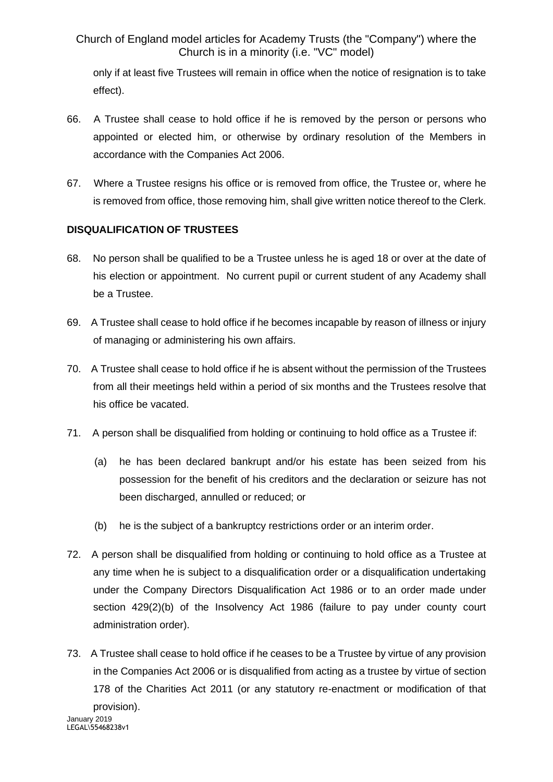only if at least five Trustees will remain in office when the notice of resignation is to take effect).

- 66. A Trustee shall cease to hold office if he is removed by the person or persons who appointed or elected him, or otherwise by ordinary resolution of the Members in accordance with the Companies Act 2006.
- 67. Where a Trustee resigns his office or is removed from office, the Trustee or, where he is removed from office, those removing him, shall give written notice thereof to the Clerk.

## **DISQUALIFICATION OF TRUSTEES**

- 68. No person shall be qualified to be a Trustee unless he is aged 18 or over at the date of his election or appointment. No current pupil or current student of any Academy shall be a Trustee.
- 69. A Trustee shall cease to hold office if he becomes incapable by reason of illness or injury of managing or administering his own affairs.
- 70. A Trustee shall cease to hold office if he is absent without the permission of the Trustees from all their meetings held within a period of six months and the Trustees resolve that his office be vacated.
- 71. A person shall be disqualified from holding or continuing to hold office as a Trustee if:
	- (a) he has been declared bankrupt and/or his estate has been seized from his possession for the benefit of his creditors and the declaration or seizure has not been discharged, annulled or reduced; or
	- (b) he is the subject of a bankruptcy restrictions order or an interim order.
- 72. A person shall be disqualified from holding or continuing to hold office as a Trustee at any time when he is subject to a disqualification order or a disqualification undertaking under the Company Directors Disqualification Act 1986 or to an order made under section 429(2)(b) of the Insolvency Act 1986 (failure to pay under county court administration order).
- January 2019 LEGAL\55468238v1 73. A Trustee shall cease to hold office if he ceases to be a Trustee by virtue of any provision in the Companies Act 2006 or is disqualified from acting as a trustee by virtue of section 178 of the Charities Act 2011 (or any statutory re-enactment or modification of that provision).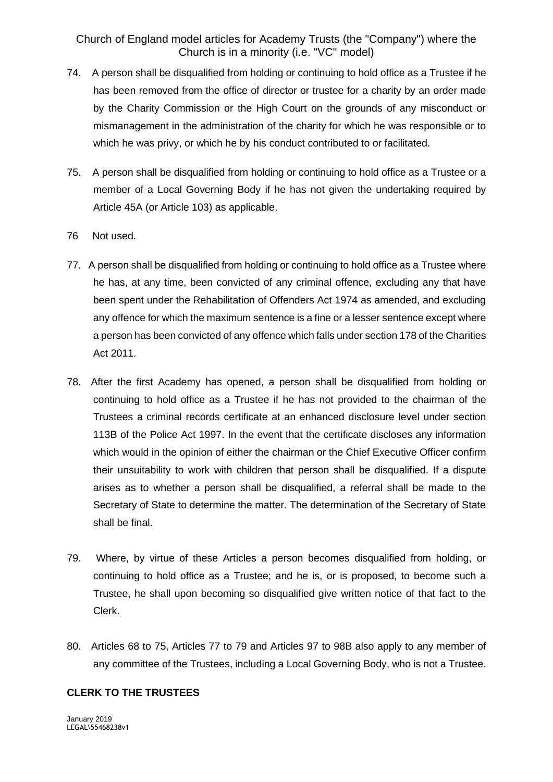- 74. A person shall be disqualified from holding or continuing to hold office as a Trustee if he has been removed from the office of director or trustee for a charity by an order made by the Charity Commission or the High Court on the grounds of any misconduct or mismanagement in the administration of the charity for which he was responsible or to which he was privy, or which he by his conduct contributed to or facilitated.
- 75. A person shall be disqualified from holding or continuing to hold office as a Trustee or a member of a Local Governing Body if he has not given the undertaking required by Article 45A (or Article 103) as applicable.
- 76 Not used.
- 77. A person shall be disqualified from holding or continuing to hold office as a Trustee where he has, at any time, been convicted of any criminal offence, excluding any that have been spent under the Rehabilitation of Offenders Act 1974 as amended, and excluding any offence for which the maximum sentence is a fine or a lesser sentence except where a person has been convicted of any offence which falls under section 178 of the Charities Act 2011.
- 78. After the first Academy has opened, a person shall be disqualified from holding or continuing to hold office as a Trustee if he has not provided to the chairman of the Trustees a criminal records certificate at an enhanced disclosure level under section 113B of the Police Act 1997. In the event that the certificate discloses any information which would in the opinion of either the chairman or the Chief Executive Officer confirm their unsuitability to work with children that person shall be disqualified. If a dispute arises as to whether a person shall be disqualified, a referral shall be made to the Secretary of State to determine the matter. The determination of the Secretary of State shall be final.
- 79. Where, by virtue of these Articles a person becomes disqualified from holding, or continuing to hold office as a Trustee; and he is, or is proposed, to become such a Trustee, he shall upon becoming so disqualified give written notice of that fact to the Clerk.
- 80. Articles 68 to 75, Articles 77 to 79 and Articles 97 to 98B also apply to any member of any committee of the Trustees, including a Local Governing Body, who is not a Trustee.

# **CLERK TO THE TRUSTEES**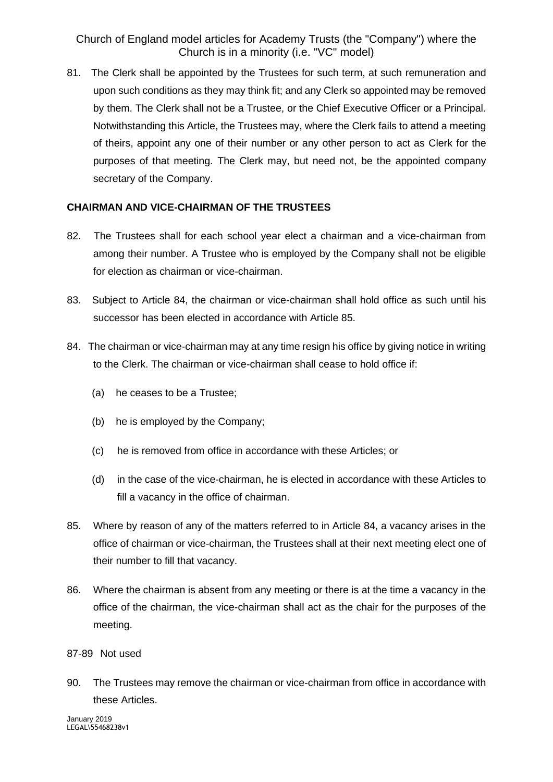81. The Clerk shall be appointed by the Trustees for such term, at such remuneration and upon such conditions as they may think fit; and any Clerk so appointed may be removed by them. The Clerk shall not be a Trustee, or the Chief Executive Officer or a Principal. Notwithstanding this Article, the Trustees may, where the Clerk fails to attend a meeting of theirs, appoint any one of their number or any other person to act as Clerk for the purposes of that meeting. The Clerk may, but need not, be the appointed company secretary of the Company.

#### **CHAIRMAN AND VICE-CHAIRMAN OF THE TRUSTEES**

- 82. The Trustees shall for each school year elect a chairman and a vice-chairman from among their number. A Trustee who is employed by the Company shall not be eligible for election as chairman or vice-chairman.
- 83. Subject to Article 84, the chairman or vice-chairman shall hold office as such until his successor has been elected in accordance with Article 85.
- 84. The chairman or vice-chairman may at any time resign his office by giving notice in writing to the Clerk. The chairman or vice-chairman shall cease to hold office if:
	- (a) he ceases to be a Trustee;
	- (b) he is employed by the Company;
	- (c) he is removed from office in accordance with these Articles; or
	- (d) in the case of the vice-chairman, he is elected in accordance with these Articles to fill a vacancy in the office of chairman.
- 85. Where by reason of any of the matters referred to in Article 84, a vacancy arises in the office of chairman or vice-chairman, the Trustees shall at their next meeting elect one of their number to fill that vacancy.
- 86. Where the chairman is absent from any meeting or there is at the time a vacancy in the office of the chairman, the vice-chairman shall act as the chair for the purposes of the meeting.

#### 87-89 Not used

90. The Trustees may remove the chairman or vice-chairman from office in accordance with these Articles.

January 2019 LEGAL\55468238v1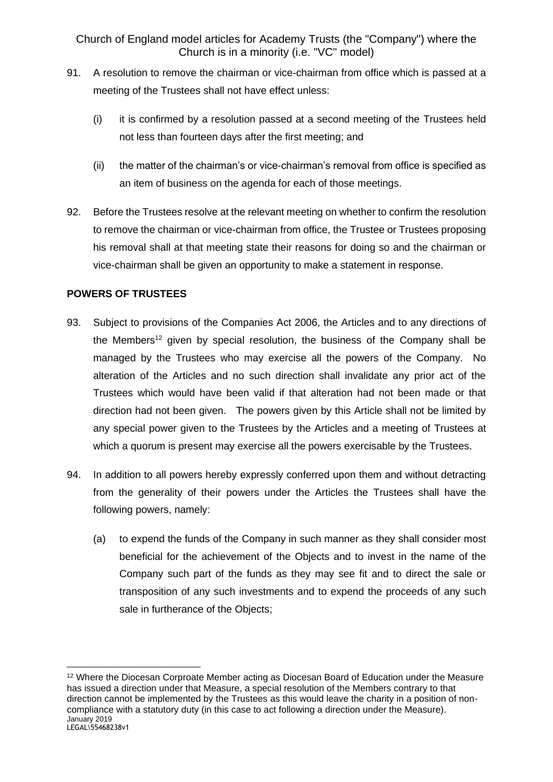- 91. A resolution to remove the chairman or vice-chairman from office which is passed at a meeting of the Trustees shall not have effect unless:
	- (i) it is confirmed by a resolution passed at a second meeting of the Trustees held not less than fourteen days after the first meeting; and
	- (ii) the matter of the chairman's or vice-chairman's removal from office is specified as an item of business on the agenda for each of those meetings.
- 92. Before the Trustees resolve at the relevant meeting on whether to confirm the resolution to remove the chairman or vice-chairman from office, the Trustee or Trustees proposing his removal shall at that meeting state their reasons for doing so and the chairman or vice-chairman shall be given an opportunity to make a statement in response.

## **POWERS OF TRUSTEES**

- 93. Subject to provisions of the Companies Act 2006, the Articles and to any directions of the Members<sup>12</sup> given by special resolution, the business of the Company shall be managed by the Trustees who may exercise all the powers of the Company. No alteration of the Articles and no such direction shall invalidate any prior act of the Trustees which would have been valid if that alteration had not been made or that direction had not been given. The powers given by this Article shall not be limited by any special power given to the Trustees by the Articles and a meeting of Trustees at which a quorum is present may exercise all the powers exercisable by the Trustees.
- 94. In addition to all powers hereby expressly conferred upon them and without detracting from the generality of their powers under the Articles the Trustees shall have the following powers, namely:
	- (a) to expend the funds of the Company in such manner as they shall consider most beneficial for the achievement of the Objects and to invest in the name of the Company such part of the funds as they may see fit and to direct the sale or transposition of any such investments and to expend the proceeds of any such sale in furtherance of the Objects;

January 2019 LEGAL\55468238v1 <sup>12</sup> Where the Diocesan Corproate Member acting as Diocesan Board of Education under the Measure has issued a direction under that Measure, a special resolution of the Members contrary to that direction cannot be implemented by the Trustees as this would leave the charity in a position of noncompliance with a statutory duty (in this case to act following a direction under the Measure).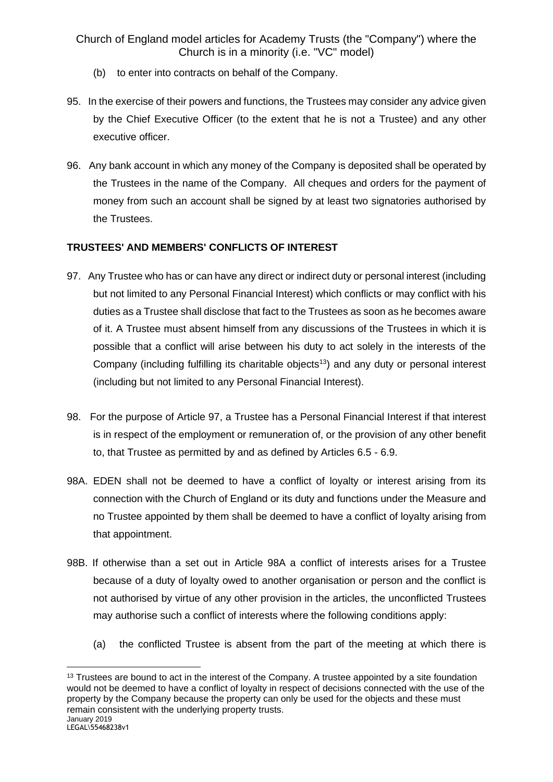- (b) to enter into contracts on behalf of the Company.
- 95. In the exercise of their powers and functions, the Trustees may consider any advice given by the Chief Executive Officer (to the extent that he is not a Trustee) and any other executive officer.
- 96. Any bank account in which any money of the Company is deposited shall be operated by the Trustees in the name of the Company. All cheques and orders for the payment of money from such an account shall be signed by at least two signatories authorised by the Trustees.

## **TRUSTEES' AND MEMBERS' CONFLICTS OF INTEREST**

- 97. Any Trustee who has or can have any direct or indirect duty or personal interest (including but not limited to any Personal Financial Interest) which conflicts or may conflict with his duties as a Trustee shall disclose that fact to the Trustees as soon as he becomes aware of it. A Trustee must absent himself from any discussions of the Trustees in which it is possible that a conflict will arise between his duty to act solely in the interests of the Company (including fulfilling its charitable objects<sup>13</sup>) and any duty or personal interest (including but not limited to any Personal Financial Interest).
- 98. For the purpose of Article 97, a Trustee has a Personal Financial Interest if that interest is in respect of the employment or remuneration of, or the provision of any other benefit to, that Trustee as permitted by and as defined by Articles 6.5 - 6.9.
- 98A. EDEN shall not be deemed to have a conflict of loyalty or interest arising from its connection with the Church of England or its duty and functions under the Measure and no Trustee appointed by them shall be deemed to have a conflict of loyalty arising from that appointment.
- 98B. If otherwise than a set out in Article 98A a conflict of interests arises for a Trustee because of a duty of loyalty owed to another organisation or person and the conflict is not authorised by virtue of any other provision in the articles, the unconflicted Trustees may authorise such a conflict of interests where the following conditions apply:
	- (a) the conflicted Trustee is absent from the part of the meeting at which there is

January 2019 <sup>13</sup> Trustees are bound to act in the interest of the Company. A trustee appointed by a site foundation would not be deemed to have a conflict of loyalty in respect of decisions connected with the use of the property by the Company because the property can only be used for the objects and these must remain consistent with the underlying property trusts.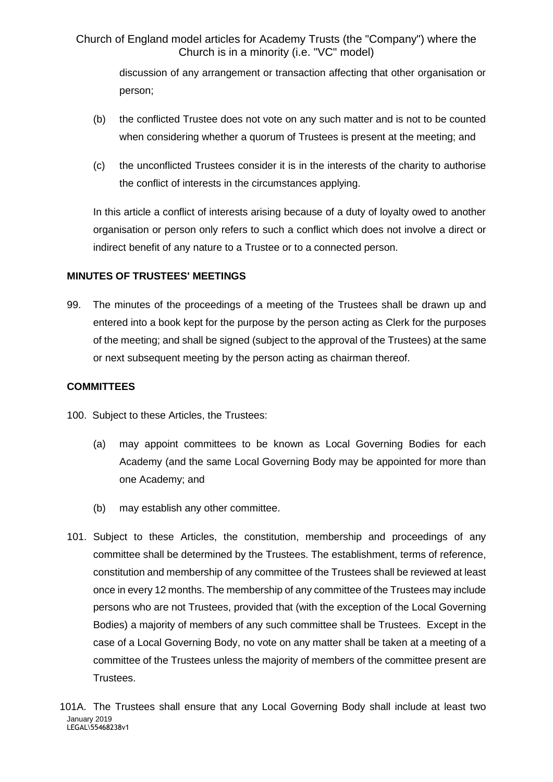> discussion of any arrangement or transaction affecting that other organisation or person;

- (b) the conflicted Trustee does not vote on any such matter and is not to be counted when considering whether a quorum of Trustees is present at the meeting; and
- (c) the unconflicted Trustees consider it is in the interests of the charity to authorise the conflict of interests in the circumstances applying.

In this article a conflict of interests arising because of a duty of loyalty owed to another organisation or person only refers to such a conflict which does not involve a direct or indirect benefit of any nature to a Trustee or to a connected person.

## **MINUTES OF TRUSTEES' MEETINGS**

99. The minutes of the proceedings of a meeting of the Trustees shall be drawn up and entered into a book kept for the purpose by the person acting as Clerk for the purposes of the meeting; and shall be signed (subject to the approval of the Trustees) at the same or next subsequent meeting by the person acting as chairman thereof.

#### **COMMITTEES**

100. Subject to these Articles, the Trustees:

- (a) may appoint committees to be known as Local Governing Bodies for each Academy (and the same Local Governing Body may be appointed for more than one Academy; and
- (b) may establish any other committee.
- 101. Subject to these Articles, the constitution, membership and proceedings of any committee shall be determined by the Trustees. The establishment, terms of reference, constitution and membership of any committee of the Trustees shall be reviewed at least once in every 12 months. The membership of any committee of the Trustees may include persons who are not Trustees, provided that (with the exception of the Local Governing Bodies) a majority of members of any such committee shall be Trustees. Except in the case of a Local Governing Body, no vote on any matter shall be taken at a meeting of a committee of the Trustees unless the majority of members of the committee present are Trustees.

January 2019 LEGAL\55468238v1 101A. The Trustees shall ensure that any Local Governing Body shall include at least two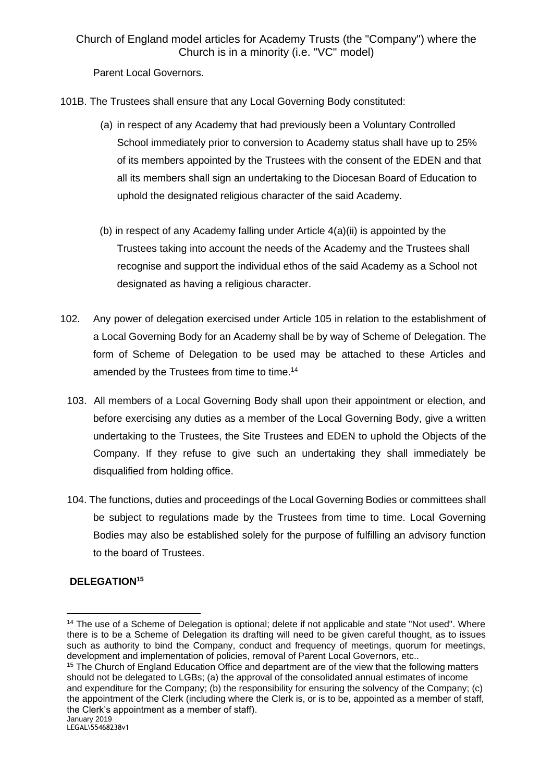Parent Local Governors.

- 101B. The Trustees shall ensure that any Local Governing Body constituted:
	- (a) in respect of any Academy that had previously been a Voluntary Controlled School immediately prior to conversion to Academy status shall have up to 25% of its members appointed by the Trustees with the consent of the EDEN and that all its members shall sign an undertaking to the Diocesan Board of Education to uphold the designated religious character of the said Academy.
	- (b) in respect of any Academy falling under Article 4(a)(ii) is appointed by the Trustees taking into account the needs of the Academy and the Trustees shall recognise and support the individual ethos of the said Academy as a School not designated as having a religious character.
- 102. Any power of delegation exercised under Article 105 in relation to the establishment of a Local Governing Body for an Academy shall be by way of Scheme of Delegation. The form of Scheme of Delegation to be used may be attached to these Articles and amended by the Trustees from time to time.<sup>14</sup>
	- 103. All members of a Local Governing Body shall upon their appointment or election, and before exercising any duties as a member of the Local Governing Body, give a written undertaking to the Trustees, the Site Trustees and EDEN to uphold the Objects of the Company. If they refuse to give such an undertaking they shall immediately be disqualified from holding office.
	- 104. The functions, duties and proceedings of the Local Governing Bodies or committees shall be subject to regulations made by the Trustees from time to time. Local Governing Bodies may also be established solely for the purpose of fulfilling an advisory function to the board of Trustees.

# **DELEGATION<sup>15</sup>**

<sup>&</sup>lt;sup>14</sup> The use of a Scheme of Delegation is optional; delete if not applicable and state "Not used". Where there is to be a Scheme of Delegation its drafting will need to be given careful thought, as to issues such as authority to bind the Company, conduct and frequency of meetings, quorum for meetings, development and implementation of policies, removal of Parent Local Governors, etc..

January 2019 <sup>15</sup> The Church of England Education Office and department are of the view that the following matters should not be delegated to LGBs; (a) the approval of the consolidated annual estimates of income and expenditure for the Company; (b) the responsibility for ensuring the solvency of the Company; (c) the appointment of the Clerk (including where the Clerk is, or is to be, appointed as a member of staff, the Clerk's appointment as a member of staff).

LEGAL\55468238v1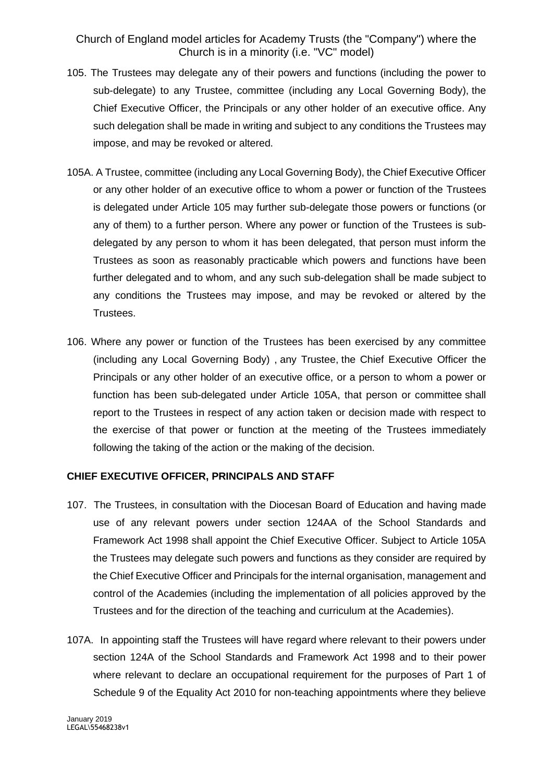- 105. The Trustees may delegate any of their powers and functions (including the power to sub-delegate) to any Trustee, committee (including any Local Governing Body), the Chief Executive Officer, the Principals or any other holder of an executive office. Any such delegation shall be made in writing and subject to any conditions the Trustees may impose, and may be revoked or altered.
- 105A. A Trustee, committee (including any Local Governing Body), the Chief Executive Officer or any other holder of an executive office to whom a power or function of the Trustees is delegated under Article 105 may further sub-delegate those powers or functions (or any of them) to a further person. Where any power or function of the Trustees is subdelegated by any person to whom it has been delegated, that person must inform the Trustees as soon as reasonably practicable which powers and functions have been further delegated and to whom, and any such sub-delegation shall be made subject to any conditions the Trustees may impose, and may be revoked or altered by the Trustees.
- 106. Where any power or function of the Trustees has been exercised by any committee (including any Local Governing Body) , any Trustee, the Chief Executive Officer the Principals or any other holder of an executive office, or a person to whom a power or function has been sub-delegated under Article 105A, that person or committee shall report to the Trustees in respect of any action taken or decision made with respect to the exercise of that power or function at the meeting of the Trustees immediately following the taking of the action or the making of the decision.

#### **CHIEF EXECUTIVE OFFICER, PRINCIPALS AND STAFF**

- 107. The Trustees, in consultation with the Diocesan Board of Education and having made use of any relevant powers under section 124AA of the School Standards and Framework Act 1998 shall appoint the Chief Executive Officer. Subject to Article 105A the Trustees may delegate such powers and functions as they consider are required by the Chief Executive Officer and Principals for the internal organisation, management and control of the Academies (including the implementation of all policies approved by the Trustees and for the direction of the teaching and curriculum at the Academies).
- 107A. In appointing staff the Trustees will have regard where relevant to their powers under section 124A of the School Standards and Framework Act 1998 and to their power where relevant to declare an occupational requirement for the purposes of Part 1 of Schedule 9 of the Equality Act 2010 for non-teaching appointments where they believe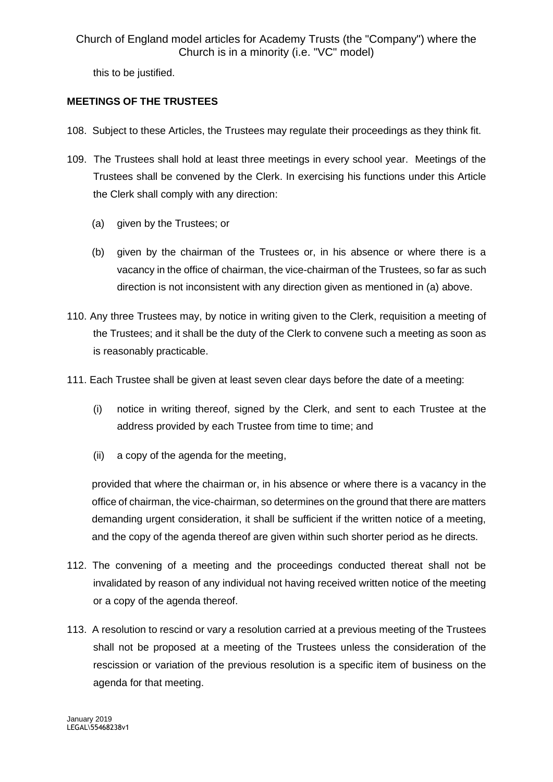this to be justified.

## **MEETINGS OF THE TRUSTEES**

- 108. Subject to these Articles, the Trustees may regulate their proceedings as they think fit.
- 109. The Trustees shall hold at least three meetings in every school year. Meetings of the Trustees shall be convened by the Clerk. In exercising his functions under this Article the Clerk shall comply with any direction:
	- (a) given by the Trustees; or
	- (b) given by the chairman of the Trustees or, in his absence or where there is a vacancy in the office of chairman, the vice-chairman of the Trustees, so far as such direction is not inconsistent with any direction given as mentioned in (a) above.
- 110. Any three Trustees may, by notice in writing given to the Clerk, requisition a meeting of the Trustees; and it shall be the duty of the Clerk to convene such a meeting as soon as is reasonably practicable.
- 111. Each Trustee shall be given at least seven clear days before the date of a meeting:
	- (i) notice in writing thereof, signed by the Clerk, and sent to each Trustee at the address provided by each Trustee from time to time; and
	- (ii) a copy of the agenda for the meeting,

provided that where the chairman or, in his absence or where there is a vacancy in the office of chairman, the vice-chairman, so determines on the ground that there are matters demanding urgent consideration, it shall be sufficient if the written notice of a meeting, and the copy of the agenda thereof are given within such shorter period as he directs.

- 112. The convening of a meeting and the proceedings conducted thereat shall not be invalidated by reason of any individual not having received written notice of the meeting or a copy of the agenda thereof.
- 113. A resolution to rescind or vary a resolution carried at a previous meeting of the Trustees shall not be proposed at a meeting of the Trustees unless the consideration of the rescission or variation of the previous resolution is a specific item of business on the agenda for that meeting.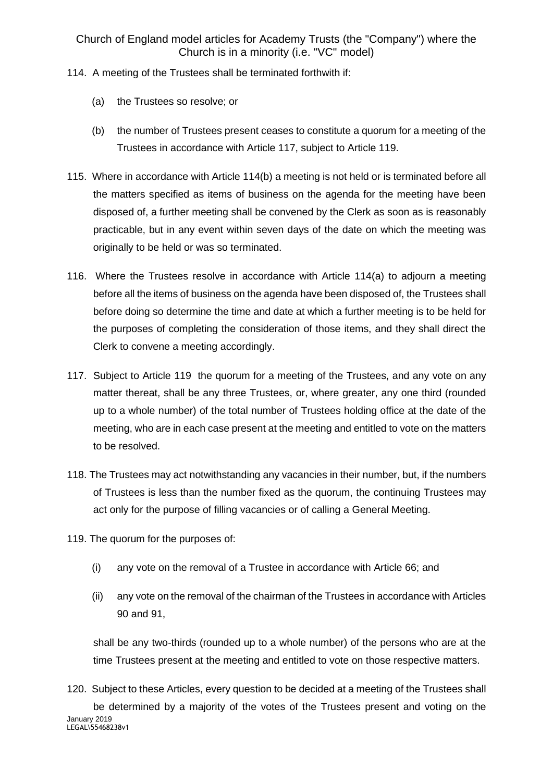#### 114. A meeting of the Trustees shall be terminated forthwith if:

- (a) the Trustees so resolve; or
- (b) the number of Trustees present ceases to constitute a quorum for a meeting of the Trustees in accordance with Article 117, subject to Article 119.
- 115. Where in accordance with Article 114(b) a meeting is not held or is terminated before all the matters specified as items of business on the agenda for the meeting have been disposed of, a further meeting shall be convened by the Clerk as soon as is reasonably practicable, but in any event within seven days of the date on which the meeting was originally to be held or was so terminated.
- 116. Where the Trustees resolve in accordance with Article 114(a) to adjourn a meeting before all the items of business on the agenda have been disposed of, the Trustees shall before doing so determine the time and date at which a further meeting is to be held for the purposes of completing the consideration of those items, and they shall direct the Clerk to convene a meeting accordingly.
- 117. Subject to Article 119 the quorum for a meeting of the Trustees, and any vote on any matter thereat, shall be any three Trustees, or, where greater, any one third (rounded up to a whole number) of the total number of Trustees holding office at the date of the meeting, who are in each case present at the meeting and entitled to vote on the matters to be resolved.
- 118. The Trustees may act notwithstanding any vacancies in their number, but, if the numbers of Trustees is less than the number fixed as the quorum, the continuing Trustees may act only for the purpose of filling vacancies or of calling a General Meeting.
- 119. The quorum for the purposes of:
	- (i) any vote on the removal of a Trustee in accordance with Article 66; and
	- (ii) any vote on the removal of the chairman of the Trustees in accordance with Articles 90 and 91,

shall be any two-thirds (rounded up to a whole number) of the persons who are at the time Trustees present at the meeting and entitled to vote on those respective matters.

January 2019 LEGAL\55468238v1 120. Subject to these Articles, every question to be decided at a meeting of the Trustees shall be determined by a majority of the votes of the Trustees present and voting on the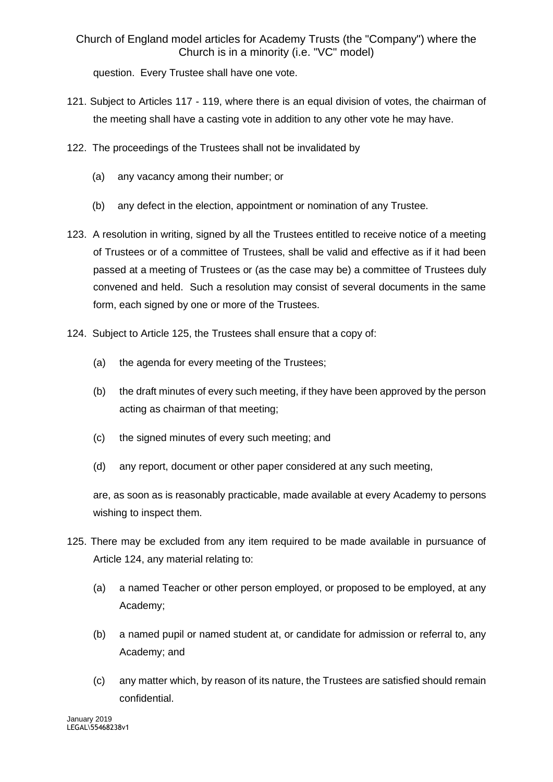question. Every Trustee shall have one vote.

- 121. Subject to Articles 117 119, where there is an equal division of votes, the chairman of the meeting shall have a casting vote in addition to any other vote he may have.
- 122. The proceedings of the Trustees shall not be invalidated by
	- (a) any vacancy among their number; or
	- (b) any defect in the election, appointment or nomination of any Trustee.
- 123. A resolution in writing, signed by all the Trustees entitled to receive notice of a meeting of Trustees or of a committee of Trustees, shall be valid and effective as if it had been passed at a meeting of Trustees or (as the case may be) a committee of Trustees duly convened and held. Such a resolution may consist of several documents in the same form, each signed by one or more of the Trustees.
- 124. Subject to Article 125, the Trustees shall ensure that a copy of:
	- (a) the agenda for every meeting of the Trustees;
	- (b) the draft minutes of every such meeting, if they have been approved by the person acting as chairman of that meeting;
	- (c) the signed minutes of every such meeting; and
	- (d) any report, document or other paper considered at any such meeting,

are, as soon as is reasonably practicable, made available at every Academy to persons wishing to inspect them.

- 125. There may be excluded from any item required to be made available in pursuance of Article 124, any material relating to:
	- (a) a named Teacher or other person employed, or proposed to be employed, at any Academy;
	- (b) a named pupil or named student at, or candidate for admission or referral to, any Academy; and
	- (c) any matter which, by reason of its nature, the Trustees are satisfied should remain confidential.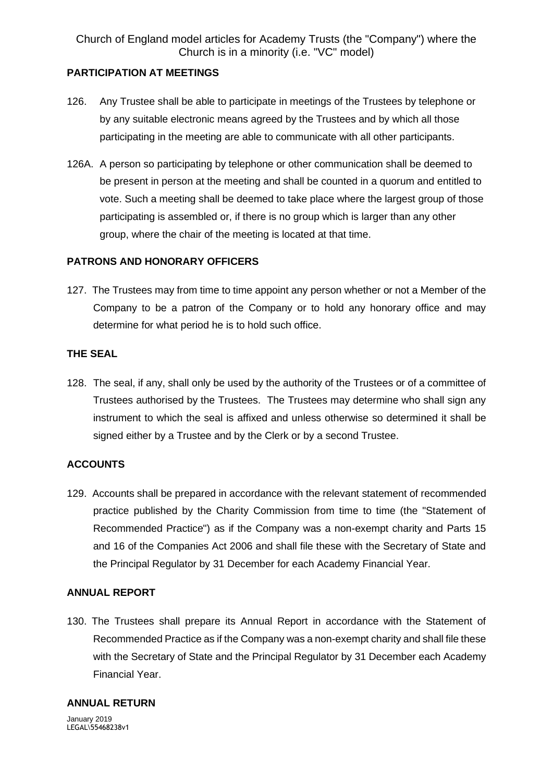#### **PARTICIPATION AT MEETINGS**

- 126. Any Trustee shall be able to participate in meetings of the Trustees by telephone or by any suitable electronic means agreed by the Trustees and by which all those participating in the meeting are able to communicate with all other participants.
- 126A. A person so participating by telephone or other communication shall be deemed to be present in person at the meeting and shall be counted in a quorum and entitled to vote. Such a meeting shall be deemed to take place where the largest group of those participating is assembled or, if there is no group which is larger than any other group, where the chair of the meeting is located at that time.

## **PATRONS AND HONORARY OFFICERS**

127. The Trustees may from time to time appoint any person whether or not a Member of the Company to be a patron of the Company or to hold any honorary office and may determine for what period he is to hold such office.

## **THE SEAL**

128. The seal, if any, shall only be used by the authority of the Trustees or of a committee of Trustees authorised by the Trustees. The Trustees may determine who shall sign any instrument to which the seal is affixed and unless otherwise so determined it shall be signed either by a Trustee and by the Clerk or by a second Trustee.

## **ACCOUNTS**

129. Accounts shall be prepared in accordance with the relevant statement of recommended practice published by the Charity Commission from time to time (the "Statement of Recommended Practice") as if the Company was a non-exempt charity and Parts 15 and 16 of the Companies Act 2006 and shall file these with the Secretary of State and the Principal Regulator by 31 December for each Academy Financial Year.

## **ANNUAL REPORT**

130. The Trustees shall prepare its Annual Report in accordance with the Statement of Recommended Practice as if the Company was a non-exempt charity and shall file these with the Secretary of State and the Principal Regulator by 31 December each Academy Financial Year.

#### **ANNUAL RETURN**

January 2019 LEGAL\55468238v1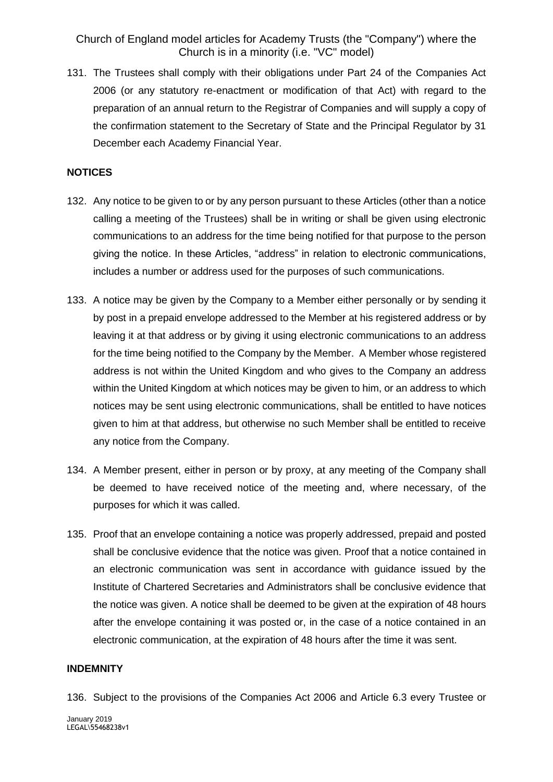131. The Trustees shall comply with their obligations under Part 24 of the Companies Act 2006 (or any statutory re-enactment or modification of that Act) with regard to the preparation of an annual return to the Registrar of Companies and will supply a copy of the confirmation statement to the Secretary of State and the Principal Regulator by 31 December each Academy Financial Year.

#### **NOTICES**

- 132. Any notice to be given to or by any person pursuant to these Articles (other than a notice calling a meeting of the Trustees) shall be in writing or shall be given using electronic communications to an address for the time being notified for that purpose to the person giving the notice. In these Articles, "address" in relation to electronic communications, includes a number or address used for the purposes of such communications.
- 133. A notice may be given by the Company to a Member either personally or by sending it by post in a prepaid envelope addressed to the Member at his registered address or by leaving it at that address or by giving it using electronic communications to an address for the time being notified to the Company by the Member. A Member whose registered address is not within the United Kingdom and who gives to the Company an address within the United Kingdom at which notices may be given to him, or an address to which notices may be sent using electronic communications, shall be entitled to have notices given to him at that address, but otherwise no such Member shall be entitled to receive any notice from the Company.
- 134. A Member present, either in person or by proxy, at any meeting of the Company shall be deemed to have received notice of the meeting and, where necessary, of the purposes for which it was called.
- 135. Proof that an envelope containing a notice was properly addressed, prepaid and posted shall be conclusive evidence that the notice was given. Proof that a notice contained in an electronic communication was sent in accordance with guidance issued by the Institute of Chartered Secretaries and Administrators shall be conclusive evidence that the notice was given. A notice shall be deemed to be given at the expiration of 48 hours after the envelope containing it was posted or, in the case of a notice contained in an electronic communication, at the expiration of 48 hours after the time it was sent.

#### **INDEMNITY**

136. Subject to the provisions of the Companies Act 2006 and Article 6.3 every Trustee or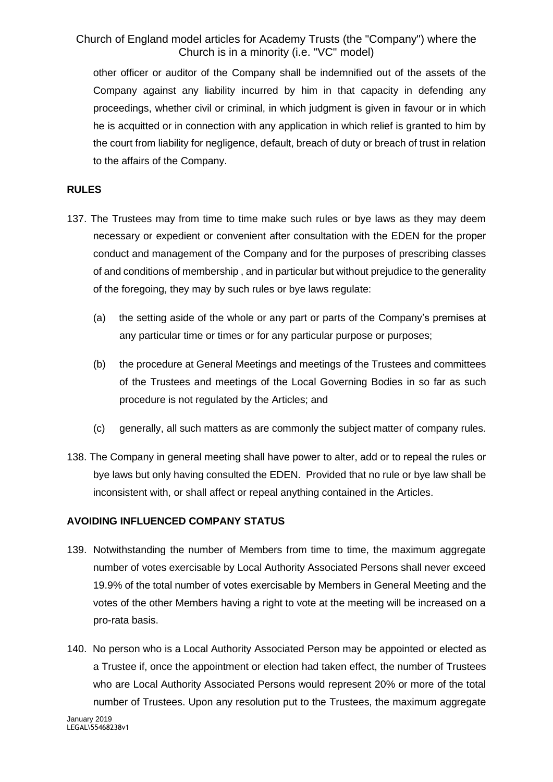other officer or auditor of the Company shall be indemnified out of the assets of the Company against any liability incurred by him in that capacity in defending any proceedings, whether civil or criminal, in which judgment is given in favour or in which he is acquitted or in connection with any application in which relief is granted to him by the court from liability for negligence, default, breach of duty or breach of trust in relation to the affairs of the Company.

#### **RULES**

- 137. The Trustees may from time to time make such rules or bye laws as they may deem necessary or expedient or convenient after consultation with the EDEN for the proper conduct and management of the Company and for the purposes of prescribing classes of and conditions of membership , and in particular but without prejudice to the generality of the foregoing, they may by such rules or bye laws regulate:
	- (a) the setting aside of the whole or any part or parts of the Company's premises at any particular time or times or for any particular purpose or purposes;
	- (b) the procedure at General Meetings and meetings of the Trustees and committees of the Trustees and meetings of the Local Governing Bodies in so far as such procedure is not regulated by the Articles; and
	- (c) generally, all such matters as are commonly the subject matter of company rules.
- 138. The Company in general meeting shall have power to alter, add or to repeal the rules or bye laws but only having consulted the EDEN. Provided that no rule or bye law shall be inconsistent with, or shall affect or repeal anything contained in the Articles.

## **AVOIDING INFLUENCED COMPANY STATUS**

- 139. Notwithstanding the number of Members from time to time, the maximum aggregate number of votes exercisable by Local Authority Associated Persons shall never exceed 19.9% of the total number of votes exercisable by Members in General Meeting and the votes of the other Members having a right to vote at the meeting will be increased on a pro-rata basis.
- January 2019 140. No person who is a Local Authority Associated Person may be appointed or elected as a Trustee if, once the appointment or election had taken effect, the number of Trustees who are Local Authority Associated Persons would represent 20% or more of the total number of Trustees. Upon any resolution put to the Trustees, the maximum aggregate